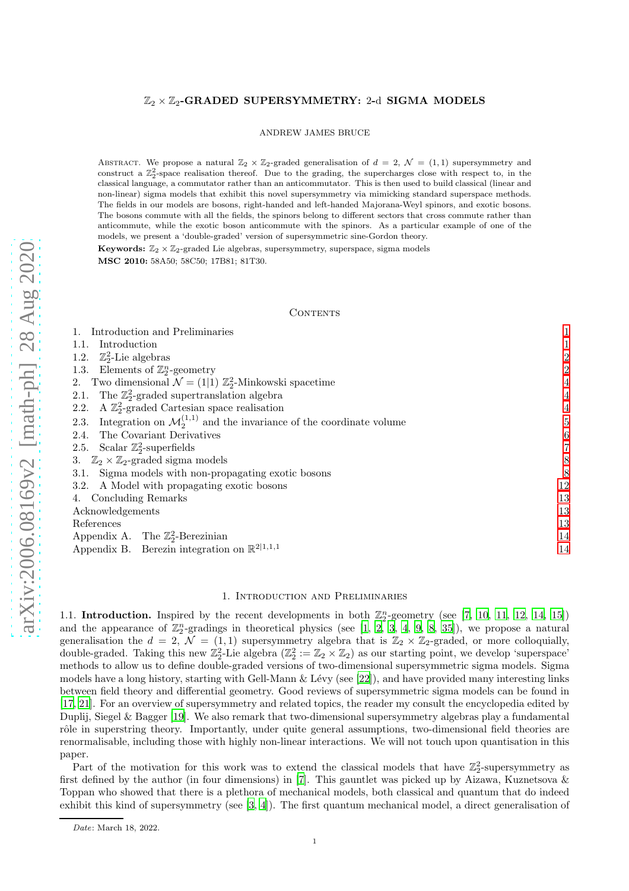## $\mathbb{Z}_2 \times \mathbb{Z}_2$ -GRADED SUPERSYMMETRY: 2-d SIGMA MODELS

ANDREW JAMES BRUCE

ABSTRACT. We propose a natural  $\mathbb{Z}_2 \times \mathbb{Z}_2$ -graded generalisation of  $d = 2$ ,  $\mathcal{N} = (1, 1)$  supersymmetry and construct a  $\mathbb{Z}_2^2$ -space realisation thereof. Due to the grading, the supercharges close with respect to, in the classical language, a commutator rather than an anticommutator. This is then used to build classical (linear and non-linear) sigma models that exhibit this novel supersymmetry via mimicking standard superspace methods. The fields in our models are bosons, right-handed and left-handed Majorana-Weyl spinors, and exotic bosons. The bosons commute with all the fields, the spinors belong to different sectors that cross commute rather than anticommute, while the exotic boson anticommute with the spinors. As a particular example of one of the models, we present a 'double-graded' version of supersymmetric sine-Gordon theory.

Keywords:  $\mathbb{Z}_2 \times \mathbb{Z}_2$ -graded Lie algebras, supersymmetry, superspace, sigma models MSC 2010: 58A50; 58C50; 17B81; 81T30.

#### CONTENTS

| 1. Introduction and Preliminaries                                                          |                  |
|--------------------------------------------------------------------------------------------|------------------|
| Introduction<br>1.1.                                                                       |                  |
| 1.2. $\mathbb{Z}_2^2$ -Lie algebras                                                        | $\overline{c}$   |
| 1.3. Elements of $\mathbb{Z}_2^n$ -geometry                                                | $\overline{2}$   |
| 2. Two dimensional $\mathcal{N} = (1 1) \mathbb{Z}_2^2$ -Minkowski spacetime               | 4                |
| The $\mathbb{Z}_2^2$ -graded supertranslation algebra<br>2.1.                              | $\overline{4}$   |
| A $\mathbb{Z}_2^2$ -graded Cartesian space realisation<br>2.2.                             | 4                |
| Integration on $\mathcal{M}^{(1,1)}_2$ and the invariance of the coordinate volume<br>2.3. | 5                |
| The Covariant Derivatives<br>2.4.                                                          | $\boldsymbol{6}$ |
| 2.5. Scalar $\mathbb{Z}_2^2$ -superfields                                                  | 7                |
| 3. $\mathbb{Z}_2 \times \mathbb{Z}_2$ -graded sigma models                                 | 8                |
| Sigma models with non-propagating exotic bosons<br>3.1.                                    | 8                |
| 3.2. A Model with propagating exotic bosons                                                | 12               |
| 4. Concluding Remarks                                                                      | 13               |
| Acknowledgements                                                                           | 13               |
| References                                                                                 | 13               |
| Appendix A. The $\mathbb{Z}_2^2$ -Berezinian                                               | 14               |
| Appendix B. Berezin integration on $\mathbb{R}^{2 1,1,1}$                                  | 14               |
|                                                                                            |                  |

### 1. Introduction and Preliminaries

<span id="page-0-1"></span><span id="page-0-0"></span>1.1. Introduction. Inspired by the recent developments in both  $\mathbb{Z}_2^n$ -geometry (see [\[7](#page-12-3), [10,](#page-12-4) [11,](#page-12-5) [12,](#page-12-6) [14,](#page-12-7) [15\]](#page-12-8)) and the appearance of  $\mathbb{Z}_2^n$ -gradings in theoretical physics (see [\[1](#page-12-9), [2,](#page-12-10) [3](#page-12-11), [4,](#page-12-12) [9](#page-12-13), [8,](#page-12-14) [35](#page-13-2)]), we propose a natural generalisation the  $d = 2$ ,  $\mathcal{N} = (1, 1)$  supersymmetry algebra that is  $\mathbb{Z}_2 \times \mathbb{Z}_2$ -graded, or more colloquially, double-graded. Taking this new  $\mathbb{Z}_2^2$ -Lie algebra  $(\mathbb{Z}_2^2 := \mathbb{Z}_2 \times \mathbb{Z}_2)$  as our starting point, we develop 'superspace' methods to allow us to define double-graded versions of two-dimensional supersymmetric sigma models. Sigma models have a long history, starting with Gell-Mann  $\&$  Lévy (see [\[22\]](#page-12-15)), and have provided many interesting links between field theory and differential geometry. Good reviews of supersymmetric sigma models can be found in [\[17](#page-12-16), [21\]](#page-12-17). For an overview of supersymmetry and related topics, the reader my consult the encyclopedia edited by Duplij, Siegel & Bagger [\[19\]](#page-12-18). We also remark that two-dimensional supersymmetry algebras play a fundamental rôle in superstring theory. Importantly, under quite general assumptions, two-dimensional field theories are renormalisable, including those with highly non-linear interactions. We will not touch upon quantisation in this paper.

Part of the motivation for this work was to extend the classical models that have  $\mathbb{Z}_2^2$ -supersymmetry as first defined by the author (in four dimensions) in [\[7\]](#page-12-3). This gauntlet was picked up by Aizawa, Kuznetsova & Toppan who showed that there is a plethora of mechanical models, both classical and quantum that do indeed exhibit this kind of supersymmetry (see [\[3](#page-12-11), [4\]](#page-12-12)). The first quantum mechanical model, a direct generalisation of

Date: March 18, 2022.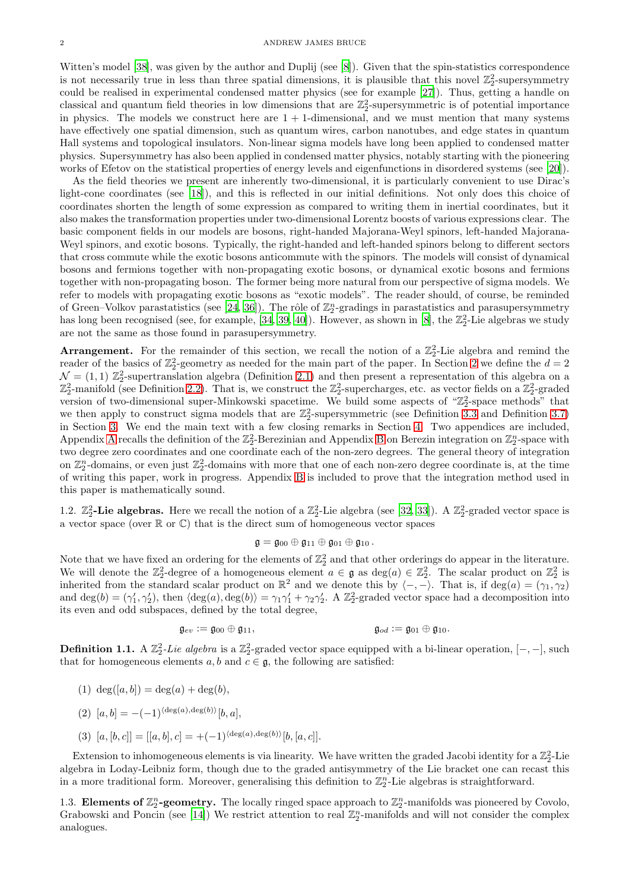Witten's model [\[38\]](#page-13-3), was given by the author and Duplij (see [\[8\]](#page-12-14)). Given that the spin-statistics correspondence is not necessarily true in less than three spatial dimensions, it is plausible that this novel  $\mathbb{Z}_2^2$ -supersymmetry could be realised in experimental condensed matter physics (see for example [\[27\]](#page-13-4)). Thus, getting a handle on classical and quantum field theories in low dimensions that are  $\mathbb{Z}_2^2$ -supersymmetric is of potential importance in physics. The models we construct here are  $1 + 1$ -dimensional, and we must mention that many systems have effectively one spatial dimension, such as quantum wires, carbon nanotubes, and edge states in quantum Hall systems and topological insulators. Non-linear sigma models have long been applied to condensed matter physics. Supersymmetry has also been applied in condensed matter physics, notably starting with the pioneering works of Efetov on the statistical properties of energy levels and eigenfunctions in disordered systems (see [\[20](#page-12-19)]).

As the field theories we present are inherently two-dimensional, it is particularly convenient to use Dirac's light-cone coordinates (see [\[18\]](#page-12-20)), and this is reflected in our initial definitions. Not only does this choice of coordinates shorten the length of some expression as compared to writing them in inertial coordinates, but it also makes the transformation properties under two-dimensional Lorentz boosts of various expressions clear. The basic component fields in our models are bosons, right-handed Majorana-Weyl spinors, left-handed Majorana-Weyl spinors, and exotic bosons. Typically, the right-handed and left-handed spinors belong to different sectors that cross commute while the exotic bosons anticommute with the spinors. The models will consist of dynamical bosons and fermions together with non-propagating exotic bosons, or dynamical exotic bosons and fermions together with non-propagating boson. The former being more natural from our perspective of sigma models. We refer to models with propagating exotic bosons as "exotic models". The reader should, of course, be reminded of Green–Volkov parastatistics (see [\[24,](#page-13-5) [36\]](#page-13-6)). The rôle of  $\mathbb{Z}_2^n$ -gradings in parastatistics and parasupersymmetry has long been recognised (see, for example, [\[34,](#page-13-7) [39](#page-13-8), [40\]](#page-13-9)). However, as shown in [\[8\]](#page-12-14), the  $\mathbb{Z}_2^2$ -Lie algebras we study are not the same as those found in parasupersymmetry.

**Arrangement.** For the remainder of this section, we recall the notion of a  $\mathbb{Z}_2^2$ -Lie algebra and remind the reader of the basics of  $\mathbb{Z}_2^2$ -geometry as needed for the main part of the paper. In Section [2](#page-3-0) we define the  $d=2$  $\mathcal{N} = (1, 1)$   $\mathbb{Z}_2^2$ -supertranslation algebra (Definition [2.1\)](#page-3-3) and then present a representation of this algebra on a  $\mathbb{Z}_2^2$ -manifold (see Definition [2.2\)](#page-3-4). That is, we construct the  $\mathbb{Z}_2^2$ -supercharges, etc. as vector fields on a  $\mathbb{Z}_2^2$ -graded version of two-dimensional super-Minkowski spacetime. We build some aspects of " $\mathbb{Z}_2^2$ -space methods" that we then apply to construct sigma models that are  $\mathbb{Z}_2^2$ -supersymmetric (see Definition [3.3](#page-7-2) and Definition [3.7\)](#page-8-0) in Section [3.](#page-7-0) We end the main text with a few closing remarks in Section [4.](#page-12-0) Two appendices are included, Appendix [A](#page-13-0) recalls the definition of the  $\mathbb{Z}_2^2$ -Berezinian and Appendix [B](#page-13-1) on Berezin integration on  $\mathbb{Z}_2^n$ -space with two degree zero coordinates and one coordinate each of the non-zero degrees. The general theory of integration on  $\mathbb{Z}_2^n$ -domains, or even just  $\mathbb{Z}_2^2$ -domains with more that one of each non-zero degree coordinate is, at the time of writing this paper, work in progress. Appendix [B](#page-13-1) is included to prove that the integration method used in this paper is mathematically sound.

<span id="page-1-0"></span>1.2.  $\mathbb{Z}_2^2$ -Lie algebras. Here we recall the notion of a  $\mathbb{Z}_2^2$ -Lie algebra (see [\[32,](#page-13-10) [33\]](#page-13-11)). A  $\mathbb{Z}_2^2$ -graded vector space is a vector space (over  $\mathbb R$  or  $\mathbb C$ ) that is the direct sum of homogeneous vector spaces

$$
\mathfrak{g}=\mathfrak{g}_{00}\oplus\mathfrak{g}_{11}\oplus\mathfrak{g}_{01}\oplus\mathfrak{g}_{10}\,.
$$

Note that we have fixed an ordering for the elements of  $\mathbb{Z}_2^2$  and that other orderings do appear in the literature. We will denote the  $\mathbb{Z}_2^2$ -degree of a homogeneous element  $a \in \mathfrak{g}$  as  $\deg(a) \in \mathbb{Z}_2^2$ . The scalar product on  $\mathbb{Z}_2^2$  is inherited from the standard scalar product on  $\mathbb{R}^2$  and we denote this by  $\langle -, - \rangle$ . That is, if deg(a) =  $(\gamma_1, \gamma_2)$ and deg(b) =  $(\gamma'_1, \gamma'_2)$ , then  $\langle \deg(a), \deg(b) \rangle = \gamma_1 \gamma'_1 + \gamma_2 \gamma'_2$ . A  $\mathbb{Z}_2^2$ -graded vector space had a decomposition into its even and odd subspaces, defined by the total degree,

$$
\mathfrak{g}_{ev}:=\mathfrak{g}_{00}\oplus\mathfrak{g}_{11}, \qquad \qquad \mathfrak{g}_{od}:=\mathfrak{g}_{01}\oplus\mathfrak{g}_{10}.
$$

**Definition 1.1.** A  $\mathbb{Z}_2^2$ -Lie algebra is a  $\mathbb{Z}_2^2$ -graded vector space equipped with a bi-linear operation,  $[-,-]$ , such that for homogeneous elements  $a, b$  and  $c \in \mathfrak{g}$ , the following are satisfied:

- (1)  $deg([a, b]) = deg(a) + deg(b)$ .
- (2)  $[a, b] = -(-1)^{\langle \deg(a), \deg(b) \rangle}[b, a],$
- (3)  $[a, [b, c]] = [[a, b], c] = +(-1)^{\langle \deg(a), \deg(b) \rangle} [b, [a, c]].$

Extension to inhomogeneous elements is via linearity. We have written the graded Jacobi identity for a  $\mathbb{Z}_2^2$ -Lie algebra in Loday-Leibniz form, though due to the graded antisymmetry of the Lie bracket one can recast this in a more traditional form. Moreover, generalising this definition to  $\mathbb{Z}_2^n$ -Lie algebras is straightforward.

<span id="page-1-1"></span>1.3. Elements of  $\mathbb{Z}_2^n$ -geometry. The locally ringed space approach to  $\mathbb{Z}_2^n$ -manifolds was pioneered by Covolo, Grabowski and Poncin (see [\[14](#page-12-7)]) We restrict attention to real  $\mathbb{Z}_2^n$ -manifolds and will not consider the complex analogues.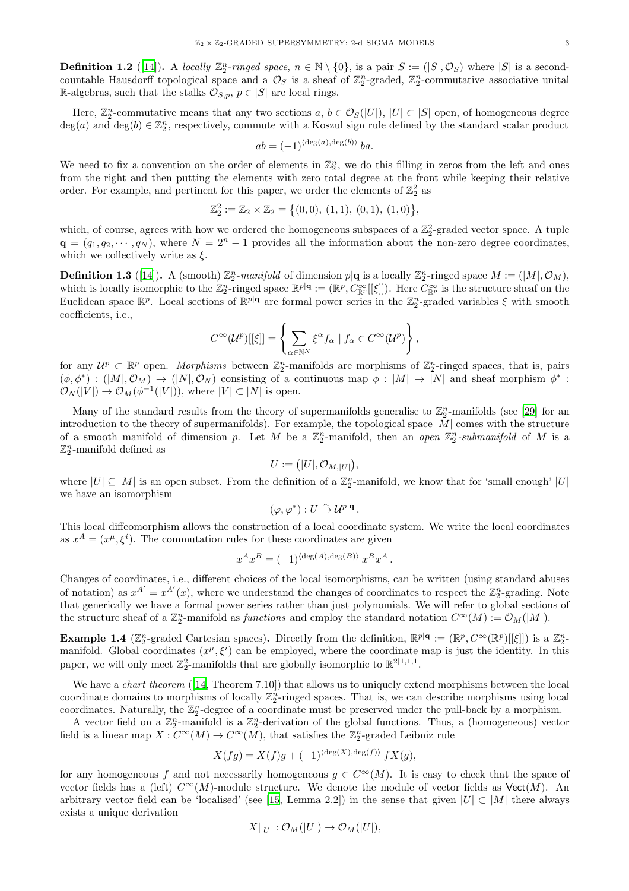**Definition 1.2** ([\[14](#page-12-7)]). A *locally*  $\mathbb{Z}_2^n$ -ringed space,  $n \in \mathbb{N} \setminus \{0\}$ , is a pair  $S := (|S|, \mathcal{O}_S)$  where  $|S|$  is a secondcountable Hausdorff topological space and a  $\mathcal{O}_S$  is a sheaf of  $\mathbb{Z}_2^n$ -graded,  $\mathbb{Z}_2^n$ -commutative associative unital R-algebras, such that the stalks  $\mathcal{O}_{S,p}$ ,  $p \in |S|$  are local rings.

Here,  $\mathbb{Z}_2^n$ -commutative means that any two sections  $a, b \in \mathcal{O}_S(|U|)$ ,  $|U| \subset |S|$  open, of homogeneous degree  $deg(a)$  and  $deg(b) \in \mathbb{Z}_2^n$ , respectively, commute with a Koszul sign rule defined by the standard scalar product

$$
ab = (-1)^{\langle \deg(a), \deg(b) \rangle} ba.
$$

We need to fix a convention on the order of elements in  $\mathbb{Z}_2^n$ , we do this filling in zeros from the left and ones from the right and then putting the elements with zero total degree at the front while keeping their relative order. For example, and pertinent for this paper, we order the elements of  $\mathbb{Z}_2^2$  as

$$
\mathbb{Z}_2^2 := \mathbb{Z}_2 \times \mathbb{Z}_2 = \{(0,0), (1,1), (0,1), (1,0)\},\
$$

which, of course, agrees with how we ordered the homogeneous subspaces of a  $\mathbb{Z}_2^2$ -graded vector space. A tuple  $\mathbf{q} = (q_1, q_2, \dots, q_N)$ , where  $N = 2^n - 1$  provides all the information about the non-zero degree coordinates, which we collectively write as  $\xi$ .

**Definition 1.3** ([\[14](#page-12-7)]). A (smooth)  $\mathbb{Z}_2^n$ -manifold of dimension  $p | q$  is a locally  $\mathbb{Z}_2^n$ -ringed space  $M := (|M|, \mathcal{O}_M)$ , which is locally isomorphic to the  $\mathbb{Z}_2^n$ -ringed space  $\mathbb{R}^{p|\mathbf{q}} := (\mathbb{R}^p, C_{\mathbb{R}^p}^{\infty}[[\xi]])$ . Here  $C_{\mathbb{R}^p}^{\infty}$  is the structure sheaf on the Euclidean space  $\mathbb{R}^p$ . Local sections of  $\mathbb{R}^{p|q}$  are formal power series in the  $\mathbb{Z}_2^n$ -graded variables  $\xi$  with smooth coefficients, i.e.,

$$
C^{\infty}(\mathcal{U}^p)[[\xi]] = \left\{ \sum_{\alpha \in \mathbb{N}^N} \xi^{\alpha} f_{\alpha} \mid f_{\alpha} \in C^{\infty}(\mathcal{U}^p) \right\},\,
$$

for any  $\mathcal{U}^p \subset \mathbb{R}^p$  open. *Morphisms* between  $\mathbb{Z}_2^n$ -manifolds are morphisms of  $\mathbb{Z}_2^n$ -ringed spaces, that is, pairs  $(\phi, \phi^*) : (M, \mathcal{O}_M) \to (N, \mathcal{O}_N)$  consisting of a continuous map  $\phi : |M| \to |N|$  and sheaf morphism  $\phi^*$ :  $\mathcal{O}_N(|V|) \to \mathcal{O}_M(\phi^{-1}(|V|)),$  where  $|V| \subset |N|$  is open.

Many of the standard results from the theory of supermanifolds generalise to  $\mathbb{Z}_2^n$ -manifolds (see [\[29](#page-13-12)] for an introduction to the theory of supermanifolds). For example, the topological space  $|M|$  comes with the structure of a smooth manifold of dimension p. Let M be a  $\mathbb{Z}_2^n$ -manifold, then an *open*  $\mathbb{Z}_2^n$ -submanifold of M is a  $\mathbb{Z}_2^n$ -manifold defined as

$$
U := (|U|, \mathcal{O}_{M, |U|}),
$$

where  $|U| \subseteq |M|$  is an open subset. From the definition of a  $\mathbb{Z}_2^n$ -manifold, we know that for 'small enough'  $|U|$ we have an isomorphism

$$
(\varphi, \varphi^*) : U \overset{\sim}{\to} \mathcal{U}^{p|q} .
$$

This local diffeomorphism allows the construction of a local coordinate system. We write the local coordinates as  $x^A = (x^{\mu}, \xi^i)$ . The commutation rules for these coordinates are given

$$
x^A x^B = (-1)^{\langle \deg(A), \deg(B) \rangle} x^B x^A.
$$

Changes of coordinates, i.e., different choices of the local isomorphisms, can be written (using standard abuses of notation) as  $x^{A'} = x^{A'}(x)$ , where we understand the changes of coordinates to respect the  $\mathbb{Z}_2^n$ -grading. Note that generically we have a formal power series rather than just polynomials. We will refer to global sections of the structure sheaf of a  $\mathbb{Z}_2^n$ -manifold as *functions* and employ the standard notation  $C^{\infty}(M) := \mathcal{O}_M(|M|)$ .

<span id="page-2-0"></span>**Example 1.4** ( $\mathbb{Z}_2^n$ -graded Cartesian spaces). Directly from the definition,  $\mathbb{R}^{p|\mathbf{q}} := (\mathbb{R}^p, C^{\infty}(\mathbb{R}^p)[[\xi]])$  is a  $\mathbb{Z}_2^n$ manifold. Global coordinates  $(x^{\mu}, \xi^{i})$  can be employed, where the coordinate map is just the identity. In this paper, we will only meet  $\mathbb{Z}_2^2$ -manifolds that are globally isomorphic to  $\mathbb{R}^{2|1,1,1}$ .

We have a *chart theorem* ([\[14,](#page-12-7) Theorem 7.10]) that allows us to uniquely extend morphisms between the local coordinate domains to morphisms of locally  $\mathbb{Z}_2^n$ -ringed spaces. That is, we can describe morphisms using local coordinates. Naturally, the  $\mathbb{Z}_2^n$ -degree of a coordinate must be preserved under the pull-back by a morphism.

A vector field on a  $\mathbb{Z}_2^n$ -manifold is a  $\mathbb{Z}_2^n$ -derivation of the global functions. Thus, a (homogeneous) vector field is a linear map  $X: C^{\infty}(M) \to C^{\infty}(M)$ , that satisfies the  $\mathbb{Z}_2^n$ -graded Leibniz rule

$$
X(fg) = X(f)g + (-1)^{\langle \deg(X), \deg(f) \rangle} fX(g),
$$

for any homogeneous f and not necessarily homogeneous  $g \in C^{\infty}(M)$ . It is easy to check that the space of vector fields has a (left)  $C^{\infty}(M)$ -module structure. We denote the module of vector fields as Vect(M). An arbitrary vector field can be 'localised' (see [\[15,](#page-12-8) Lemma 2.2]) in the sense that given  $|U| \subset |M|$  there always exists a unique derivation

$$
X|_{|U|} : \mathcal{O}_M(|U|) \to \mathcal{O}_M(|U|),
$$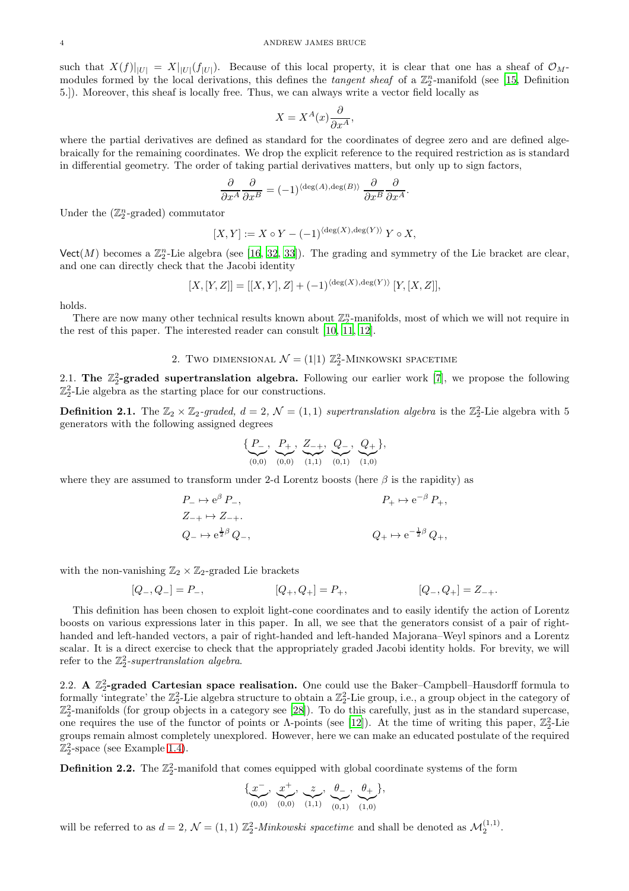such that  $X(f)|_{|U|} = X|_{|U|}(f_{|U|})$ . Because of this local property, it is clear that one has a sheaf of  $\mathcal{O}_M$ modules formed by the local derivations, this defines the *tangent sheaf* of a  $\mathbb{Z}_2^n$ -manifold (see [\[15,](#page-12-8) Definition 5.]). Moreover, this sheaf is locally free. Thus, we can always write a vector field locally as

$$
X = X^A(x) \frac{\partial}{\partial x^A},
$$

where the partial derivatives are defined as standard for the coordinates of degree zero and are defined algebraically for the remaining coordinates. We drop the explicit reference to the required restriction as is standard in differential geometry. The order of taking partial derivatives matters, but only up to sign factors,

$$
\frac{\partial}{\partial x^A} \frac{\partial}{\partial x^B} = (-1)^{\langle \deg(A), \deg(B) \rangle} \frac{\partial}{\partial x^B} \frac{\partial}{\partial x^A}.
$$

Under the  $(\mathbb{Z}_2^n$ -graded) commutator

$$
[X,Y] := X \circ Y - (-1)^{\langle \deg(X), \deg(Y) \rangle} Y \circ X,
$$

 $\mathsf{Vect}(M)$  becomes a  $\mathbb{Z}_2^n$ -Lie algebra (see [\[16,](#page-12-21) [32,](#page-13-10) [33\]](#page-13-11)). The grading and symmetry of the Lie bracket are clear, and one can directly check that the Jacobi identity

$$
[X,[Y,Z]] = [[X,Y],Z] + (-1)^{\langle \deg(X), \deg(Y) \rangle} [Y,[X,Z]],
$$

holds.

There are now many other technical results known about  $\mathbb{Z}_2^n$ -manifolds, most of which we will not require in the rest of this paper. The interested reader can consult [\[10,](#page-12-4) [11](#page-12-5), [12](#page-12-6)].

2. Two dimensional 
$$
\mathcal{N} = (1|1) \mathbb{Z}_2^2
$$
-Minkowski spacetime

<span id="page-3-1"></span><span id="page-3-0"></span>2.1. The  $\mathbb{Z}_2^2$ -graded supertranslation algebra. Following our earlier work [\[7](#page-12-3)], we propose the following  $\mathbb{Z}_2^2$ -Lie algebra as the starting place for our constructions.

<span id="page-3-3"></span>**Definition 2.1.** The  $\mathbb{Z}_2 \times \mathbb{Z}_2$ -graded,  $d = 2$ ,  $\mathcal{N} = (1,1)$  supertranslation algebra is the  $\mathbb{Z}_2^2$ -Lie algebra with 5 generators with the following assigned degrees

$$
\{\underbrace{P_-}_{(0,0)}, \underbrace{P_+}_{(0,0)}, \underbrace{Z_{-+}}_{(1,1)}, \underbrace{Q_-}_{(0,1)}, \underbrace{Q_+}_{(1,0)}\},
$$

where they are assumed to transform under 2-d Lorentz boosts (here  $\beta$  is the rapidity) as

$$
P_{-} \mapsto e^{\beta} P_{-},
$$
  
\n
$$
Z_{-+} \mapsto Z_{-+}.
$$
  
\n
$$
Q_{-} \mapsto e^{\frac{1}{2}\beta} Q_{-},
$$
  
\n
$$
Q_{+} \mapsto e^{-\frac{1}{2}\beta} Q_{+},
$$
  
\n
$$
Q_{+} \mapsto e^{-\frac{1}{2}\beta} Q_{+},
$$

with the non-vanishing  $\mathbb{Z}_2 \times \mathbb{Z}_2$ -graded Lie brackets

$$
[Q_-,Q_-]=P_-, \qquad \qquad [Q_+,Q_+]=P_+, \qquad \qquad [Q_-,Q_+]=Z_-.
$$

This definition has been chosen to exploit light-cone coordinates and to easily identify the action of Lorentz boosts on various expressions later in this paper. In all, we see that the generators consist of a pair of righthanded and left-handed vectors, a pair of right-handed and left-handed Majorana–Weyl spinors and a Lorentz scalar. It is a direct exercise to check that the appropriately graded Jacobi identity holds. For brevity, we will refer to the Z 2 2 *-supertranslation algebra*.

<span id="page-3-2"></span>2.2. A  $\mathbb{Z}_2^2$ -graded Cartesian space realisation. One could use the Baker–Campbell–Hausdorff formula to formally 'integrate' the  $\mathbb{Z}_2^2$ -Lie algebra structure to obtain a  $\mathbb{Z}_2^2$ -Lie group, i.e., a group object in the category of  $\mathbb{Z}_2^2$ -manifolds (for group objects in a category see [\[28](#page-13-13)]). To do this carefully, just as in the standard supercase, one requires the use of the functor of points or  $\Lambda$ -points (see [\[12\]](#page-12-6)). At the time of writing this paper,  $\mathbb{Z}_2^2$ -Lie groups remain almost completely unexplored. However, here we can make an educated postulate of the required  $\mathbb{Z}_2^2$ -space (see Example [1.4\)](#page-2-0).

<span id="page-3-4"></span>**Definition 2.2.** The  $\mathbb{Z}_2^2$ -manifold that comes equipped with global coordinate systems of the form

$$
\{\underbrace{x^{-}}_{(0,0)}, \underbrace{x^{+}}_{(0,0)}, \underbrace{z}_{(1,1)}, \underbrace{\theta_{-}}_{(0,1)}, \underbrace{\theta_{+}}_{(1,0)}\},
$$

will be referred to as  $d = 2$ ,  $\mathcal{N} = (1, 1)$   $\mathbb{Z}_2^2$ -*Minkowski spacetime* and shall be denoted as  $\mathcal{M}_2^{(1,1)}$ .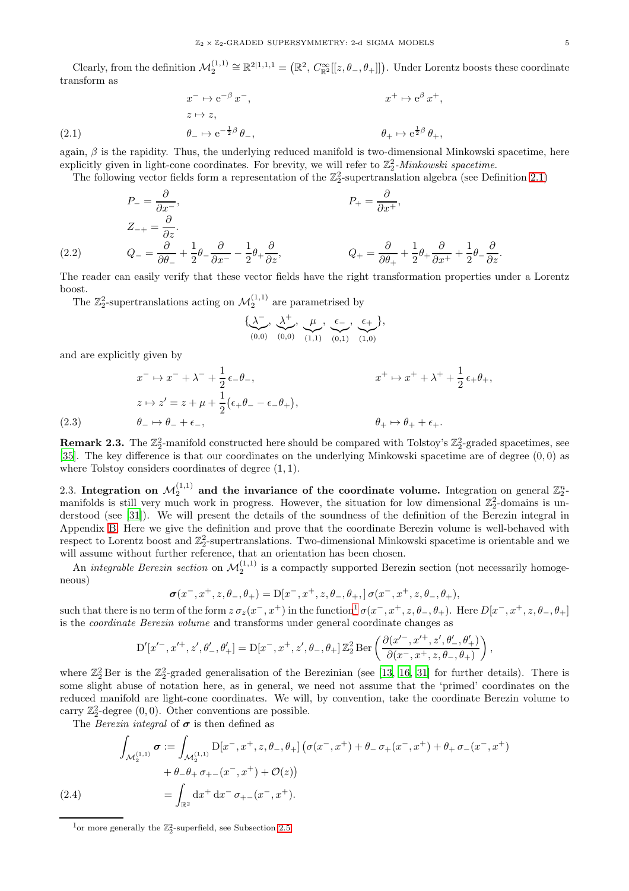Clearly, from the definition  $\mathcal{M}_2^{(1,1)} \cong \mathbb{R}^{2|1,1,1} = (\mathbb{R}^2, C_{\mathbb{R}^2}^\infty[[z,\theta_-, \theta_+]]).$  Under Lorentz boosts these coordinate transform as

(2.1) 
$$
x^{-} \mapsto e^{-\beta} x^{-}, \qquad x^{+} \mapsto e^{\beta} x^{+},
$$

$$
z \mapsto z, \qquad \theta_{-} \mapsto e^{-\frac{1}{2}\beta} \theta_{-}, \qquad \theta_{+} \mapsto e^{\frac{1}{2}\beta} \theta_{+},
$$

<span id="page-4-3"></span>again,  $\beta$  is the rapidity. Thus, the underlying reduced manifold is two-dimensional Minkowski spacetime, here explicitly given in light-cone coordinates. For brevity, we will refer to  $\mathbb{Z}_2^2$ -*Minkowski spacetime*.

The following vector fields form a representation of the  $\mathbb{Z}_2^2$ -supertranslation algebra (see Definition [2.1\)](#page-3-3)

(2.2) 
$$
P_{-} = \frac{\partial}{\partial x^{-}},
$$

$$
Z_{-+} = \frac{\partial}{\partial z}.
$$

$$
Q_{-} = \frac{\partial}{\partial \theta_{-}} + \frac{1}{2}\theta_{-}\frac{\partial}{\partial x^{-}} - \frac{1}{2}\theta_{+}\frac{\partial}{\partial z},
$$

$$
Q_{+} = \frac{\partial}{\partial \theta_{+}} + \frac{1}{2}\theta_{+}\frac{\partial}{\partial x^{+}} + \frac{1}{2}\theta_{-}\frac{\partial}{\partial z}.
$$

The reader can easily verify that these vector fields have the right transformation properties under a Lorentz boost.

The  $\mathbb{Z}_2^2$ -supertranslations acting on  $\mathcal{M}_2^{(1,1)}$  are parametrised by

$$
\{\underbrace{\lambda^{-}}_{(0,0)}, \underbrace{\lambda^{+}}_{(0,0)}, \underbrace{\mu}_{(1,1)}, \underbrace{\epsilon_{-}}_{(0,1)}, \underbrace{\epsilon_{+}}_{(1,0)}\},
$$

and are explicitly given by

$$
x^{-} \mapsto x^{-} + \lambda^{-} + \frac{1}{2} \epsilon_{-} \theta_{-},
$$
  
\n
$$
z \mapsto z' = z + \mu + \frac{1}{2} (\epsilon_{+} \theta_{-} - \epsilon_{-} \theta_{+}),
$$
  
\n
$$
\theta_{+} \mapsto \theta_{+} + \epsilon_{+}.
$$
  
\n(2.3) 
$$
\theta_{+} \mapsto \theta_{+} + \epsilon_{+}.
$$

<span id="page-4-2"></span>

**Remark 2.3.** The  $\mathbb{Z}_2^2$ -manifold constructed here should be compared with Tolstoy's  $\mathbb{Z}_2^2$ -graded spacetimes, see [\[35](#page-13-2)]. The key difference is that our coordinates on the underlying Minkowski spacetime are of degree  $(0,0)$  as where Tolstoy considers coordinates of degree  $(1, 1)$ .

<span id="page-4-0"></span>2.3. Integration on  $\mathcal{M}_2^{(1,1)}$  and the invariance of the coordinate volume. Integration on general  $\mathbb{Z}_2^n$ manifolds is still very much work in progress. However, the situation for low dimensional  $\mathbb{Z}_2^2$ -domains is understood (see [\[31](#page-13-14)]). We will present the details of the soundness of the definition of the Berezin integral in Appendix [B.](#page-13-1) Here we give the definition and prove that the coordinate Berezin volume is well-behaved with respect to Lorentz boost and  $\mathbb{Z}_2^2$ -supertranslations. Two-dimensional Minkowski spacetime is orientable and we will assume without further reference, that an orientation has been chosen.

An *integrable Berezin section* on  $\mathcal{M}_2^{(1,1)}$  is a compactly supported Berezin section (not necessarily homogeneous)

$$
\sigma(x^-, x^+, z, \theta_-, \theta_+) = \mathcal{D}[x^-, x^+, z, \theta_-, \theta_+, ]\,\sigma(x^-, x^+, z, \theta_-, \theta_+),
$$

such that there is no term of the form  $z \sigma_z(x^-, x^+)$  in the function<sup>[1](#page-4-1)</sup>  $\sigma(x^-, x^+, z, \theta_-, \theta_+)$ . Here  $D[x^-, x^+, z, \theta_-, \theta_+]$ is the *coordinate Berezin volume* and transforms under general coordinate changes as

$$
D'[x'^-, x'^+, z', \theta'_-, \theta'_+] = D[x^-, x^+, z', \theta_-, \theta_+] \mathbb{Z}_2^2 \text{Ber}\left(\frac{\partial(x'^-, x'^+, z', \theta'_-, \theta'_+)}{\partial(x^-, x^+, z, \theta_-, \theta_+)}\right),
$$

where  $\mathbb{Z}_2^2$  Ber is the  $\mathbb{Z}_2^2$ -graded generalisation of the Berezinian (see [\[13](#page-12-22), [16,](#page-12-21) [31\]](#page-13-14) for further details). There is some slight abuse of notation here, as in general, we need not assume that the 'primed' coordinates on the reduced manifold are light-cone coordinates. We will, by convention, take the coordinate Berezin volume to carry  $\mathbb{Z}_2^2$ -degree  $(0,0)$ . Other conventions are possible.

The *Berezin integral* of  $\sigma$  is then defined as

$$
\int_{\mathcal{M}_2^{(1,1)}} \sigma := \int_{\mathcal{M}_2^{(1,1)}} D[x^-, x^+, z, \theta^-, \theta^+] \left( \sigma(x^-, x^+) + \theta^- \sigma_+(x^-, x^+) + \theta_+ \sigma_-(x^-, x^+) \right. \n+ \theta_- \theta_+ \sigma_{+-}(x^-, x^+) + \mathcal{O}(z) \n= \int_{\mathbb{R}^2} dx^+ dx^- \sigma_{+-}(x^-, x^+).
$$

<span id="page-4-1"></span><sup>&</sup>lt;sup>1</sup>or more generally the  $\mathbb{Z}_2^2$ -superfield, see Subsection [2.5.](#page-6-0)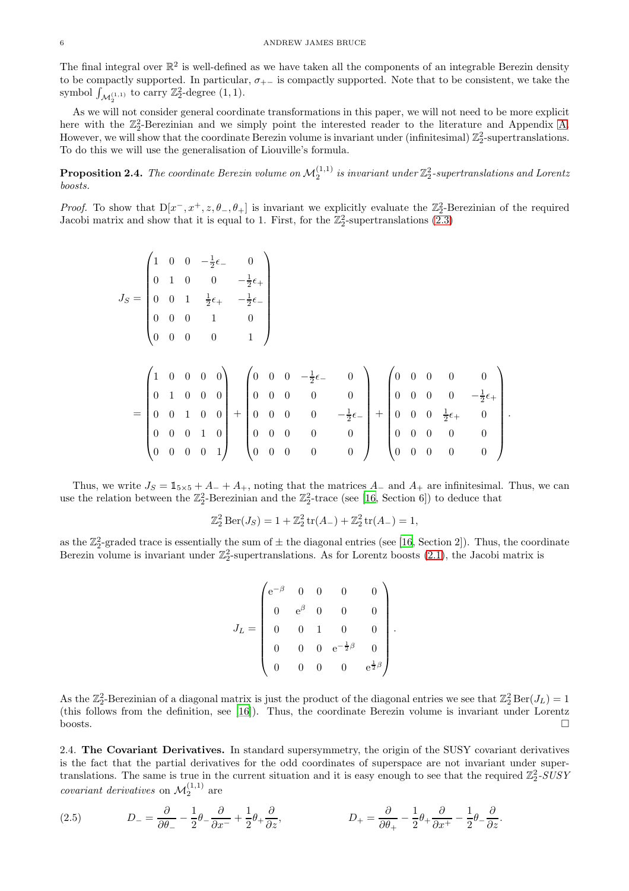The final integral over  $\mathbb{R}^2$  is well-defined as we have taken all the components of an integrable Berezin density to be compactly supported. In particular,  $\sigma_{+-}$  is compactly supported. Note that to be consistent, we take the symbol  $\int_{\mathcal{M}_2^{(1,1)}}$  to carry  $\mathbb{Z}_2^2$ -degree  $(1,1)$ .

As we will not consider general coordinate transformations in this paper, we will not need to be more explicit here with the  $\mathbb{Z}_2^2$ -Berezinian and we simply point the interested reader to the literature and Appendix [A.](#page-13-0) However, we will show that the coordinate Berezin volume is invariant under (infinitesimal)  $\mathbb{Z}_2^2$ -supertranslations. To do this we will use the generalisation of Liouville's formula.

<span id="page-5-2"></span>**Proposition 2.4.** The coordinate Berezin volume on  $\mathcal{M}_2^{(1,1)}$  is invariant under  $\mathbb{Z}_2^2$ -supertranslations and Lorentz *boosts.*

*Proof.* To show that  $D[x^-, x^+, z, \theta_-, \theta_+]$  is invariant we explicitly evaluate the  $\mathbb{Z}_2^2$ -Berezinian of the required Jacobi matrix and show that it is equal to 1. First, for the  $\mathbb{Z}_2^2$ -supertranslations [\(2.3\)](#page-4-2)

$$
J_S = \begin{pmatrix} 1 & 0 & 0 & -\frac{1}{2}\epsilon_{-} & 0 \\ 0 & 1 & 0 & 0 & -\frac{1}{2}\epsilon_{+} \\ 0 & 0 & 1 & \frac{1}{2}\epsilon_{+} & -\frac{1}{2}\epsilon_{-} \\ 0 & 0 & 0 & 1 & 0 \\ 0 & 0 & 0 & 0 & 1 \end{pmatrix}
$$
  
= 
$$
\begin{pmatrix} 1 & 0 & 0 & 0 & 0 \\ 0 & 1 & 0 & 0 & 0 \\ 0 & 0 & 1 & 0 & 0 \\ 0 & 0 & 1 & 0 & 0 \\ 0 & 0 & 0 & 1 & 0 \end{pmatrix} + \begin{pmatrix} 0 & 0 & 0 & -\frac{1}{2}\epsilon_{-} & 0 \\ 0 & 0 & 0 & 0 & 0 \\ 0 & 0 & 0 & 0 & -\frac{1}{2}\epsilon_{-} \\ 0 & 0 & 0 & 0 & 0 \end{pmatrix} + \begin{pmatrix} 0 & 0 & 0 & 0 & 0 \\ 0 & 0 & 0 & 0 & -\frac{1}{2}\epsilon_{+} \\ 0 & 0 & 0 & 0 & -\frac{1}{2}\epsilon_{+} & 0 \\ 0 & 0 & 0 & 0 & 0 & 0 \\ 0 & 0 & 0 & 0 & 0 & 0 \end{pmatrix}.
$$

Thus, we write  $J_S = \mathbb{1}_{5\times 5} + A_- + A_+$ , noting that the matrices  $A_-$  and  $A_+$  are infinitesimal. Thus, we can use the relation between the  $\mathbb{Z}_2^2$ -Berezinian and the  $\mathbb{Z}_2^2$ -trace (see [\[16,](#page-12-21) Section 6]) to deduce that

$$
\mathbb{Z}_2^2 \operatorname{Ber}(J_S) = 1 + \mathbb{Z}_2^2 \operatorname{tr}(A_-) + \mathbb{Z}_2^2 \operatorname{tr}(A_-) = 1,
$$

as the  $\mathbb{Z}_2^2$ -graded trace is essentially the sum of  $\pm$  the diagonal entries (see [\[16](#page-12-21), Section 2]). Thus, the coordinate Berezin volume is invariant under  $\mathbb{Z}_2^2$ -supertranslations. As for Lorentz boosts [\(2.1\)](#page-4-3), the Jacobi matrix is

$$
J_L = \begin{pmatrix} e^{-\beta} & 0 & 0 & 0 & 0 \\ 0 & e^{\beta} & 0 & 0 & 0 \\ 0 & 0 & 1 & 0 & 0 \\ 0 & 0 & 0 & e^{-\frac{1}{2}\beta} & 0 \\ 0 & 0 & 0 & 0 & e^{\frac{1}{2}\beta} \end{pmatrix}
$$

.

As the  $\mathbb{Z}_2^2$ -Berezinian of a diagonal matrix is just the product of the diagonal entries we see that  $\mathbb{Z}_2^2 \text{Ber}(J_L) = 1$ (this follows from the definition, see [\[16\]](#page-12-21)). Thus, the coordinate Berezin volume is invariant under Lorentz  $\Box$ boosts.

<span id="page-5-0"></span>2.4. The Covariant Derivatives. In standard supersymmetry, the origin of the SUSY covariant derivatives is the fact that the partial derivatives for the odd coordinates of superspace are not invariant under supertranslations. The same is true in the current situation and it is easy enough to see that the required  $\mathbb{Z}_2^2$ -SUSY *covariant derivatives* on  $\mathcal{M}_2^{(1,1)}$  are

<span id="page-5-1"></span>(2.5) 
$$
D_{-} = \frac{\partial}{\partial \theta_{-}} - \frac{1}{2} \theta_{-} \frac{\partial}{\partial x^{+}} + \frac{1}{2} \theta_{+} \frac{\partial}{\partial z}, \qquad D_{+} = \frac{\partial}{\partial \theta_{+}} - \frac{1}{2} \theta_{+} \frac{\partial}{\partial x^{+}} - \frac{1}{2} \theta_{-} \frac{\partial}{\partial z}.
$$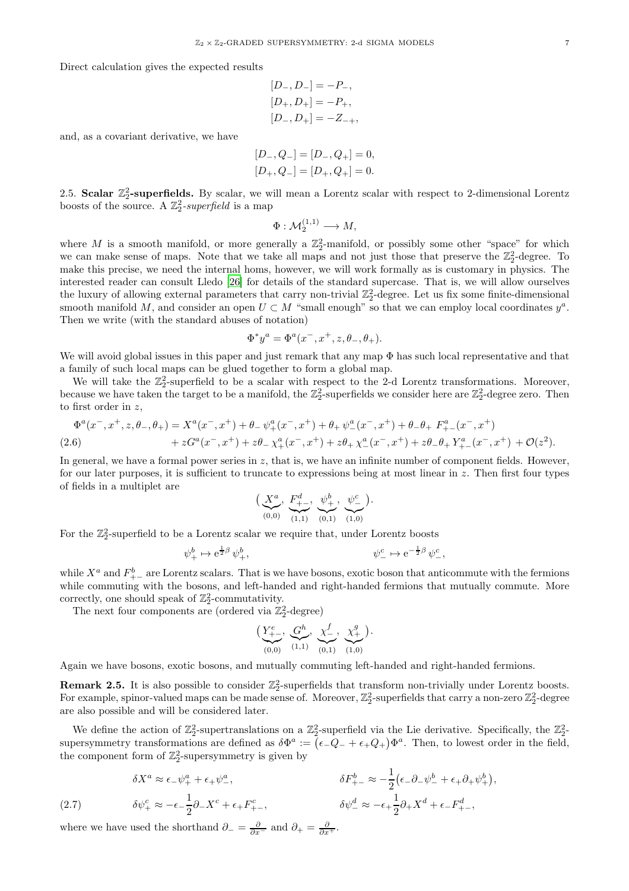Direct calculation gives the expected results

$$
[D_-, D_-] = -P_-,
$$
  
\n
$$
[D_+, D_+] = -P_+,
$$
  
\n
$$
[D_-, D_+] = -Z_{-+},
$$

and, as a covariant derivative, we have

$$
[D_-, Q_-] = [D_-, Q_+] = 0,
$$
  

$$
[D_+, Q_-] = [D_+, Q_+] = 0.
$$

<span id="page-6-0"></span>2.5. Scalar  $\mathbb{Z}_2^2$ -superfields. By scalar, we will mean a Lorentz scalar with respect to 2-dimensional Lorentz boosts of the source. A  $\mathbb{Z}_2^2$ -superfield is a map

$$
\Phi: \mathcal{M}_2^{(1,1)} \longrightarrow M,
$$

where M is a smooth manifold, or more generally a  $\mathbb{Z}_2^2$ -manifold, or possibly some other "space" for which we can make sense of maps. Note that we take all maps and not just those that preserve the  $\mathbb{Z}_2^2$ -degree. To make this precise, we need the internal homs, however, we will work formally as is customary in physics. The interested reader can consult Lledo [\[26](#page-13-15)] for details of the standard supercase. That is, we will allow ourselves the luxury of allowing external parameters that carry non-trivial  $\mathbb{Z}_2^2$ -degree. Let us fix some finite-dimensional smooth manifold M, and consider an open  $U \subset M$  "small enough" so that we can employ local coordinates  $y^a$ . Then we write (with the standard abuses of notation)

$$
\Phi^* y^a = \Phi^a(x^-, x^+, z, \theta_-, \theta_+).
$$

We will avoid global issues in this paper and just remark that any map  $\Phi$  has such local representative and that a family of such local maps can be glued together to form a global map.

We will take the  $\mathbb{Z}_2^2$ -superfield to be a scalar with respect to the 2-d Lorentz transformations. Moreover, because we have taken the target to be a manifold, the  $\mathbb{Z}_2^2$ -superfields we consider here are  $\mathbb{Z}_2^2$ -degree zero. Then to first order in z,

<span id="page-6-1"></span>
$$
\Phi^{a}(x^{-}, x^{+}, z, \theta_{-}, \theta_{+}) = X^{a}(x^{-}, x^{+}) + \theta_{-} \psi_{+}^{a}(x^{-}, x^{+}) + \theta_{+} \psi_{-}^{a}(x^{-}, x^{+}) + \theta_{-} \theta_{+} F_{+-}^{a}(x^{-}, x^{+}) + zG^{a}(x^{-}, x^{+}) + z\theta_{-} \chi_{+}^{a}(x^{-}, x^{+}) + z\theta_{+} \chi_{-}^{a}(x^{-}, x^{+}) + z\theta_{-} \theta_{+} Y_{+-}^{a}(x^{-}, x^{+}) + \mathcal{O}(z^{2}).
$$
\n(2.6)

In general, we have a formal power series in  $z$ , that is, we have an infinite number of component fields. However, for our later purposes, it is sufficient to truncate to expressions being at most linear in  $z$ . Then first four types of fields in a multiplet are

$$
\left(\underbrace{X^a}_{(0,0)}, \underbrace{F^d_{+-}}_{(1,1)}, \underbrace{\psi^b_{+}}_{(0,1)}, \underbrace{\psi^c_{-}}_{(1,0)}\right).
$$

For the  $\mathbb{Z}_2^2$ -superfield to be a Lorentz scalar we require that, under Lorentz boosts

$$
\psi^b_+ \mapsto e^{\frac{1}{2}\beta} \psi^b_+, \qquad \psi^c_- \mapsto e^{-\frac{1}{2}\beta} \psi^c_-,
$$

while  $X^a$  and  $F^b_{+-}$  are Lorentz scalars. That is we have bosons, exotic boson that anticommute with the fermions while commuting with the bosons, and left-handed and right-handed fermions that mutually commute. More correctly, one should speak of  $\mathbb{Z}_2^2$ -commutativity.

The next four components are (ordered via  $\mathbb{Z}_2^2$ -degree)

$$
\left(\underbrace{Y^e_{+-}},\underbrace{G^h}_{(1,1)},\underbrace{\chi^f_{-}},\underbrace{\chi^g_{+}}_{(0,1)},\underbrace{\chi^g_{+}}_{(1,0)}\right).
$$

Again we have bosons, exotic bosons, and mutually commuting left-handed and right-handed fermions.

**Remark 2.5.** It is also possible to consider  $\mathbb{Z}_2^2$ -superfields that transform non-trivially under Lorentz boosts. For example, spinor-valued maps can be made sense of. Moreover,  $\mathbb{Z}_2^2$ -superfields that carry a non-zero  $\mathbb{Z}_2^2$ -degree are also possible and will be considered later.

We define the action of  $\mathbb{Z}_2^2$ -supertranslations on a  $\mathbb{Z}_2^2$ -superfield via the Lie derivative. Specifically, the  $\mathbb{Z}_2^2$ supersymmetry transformations are defined as  $\delta \Phi^a := (\epsilon_- Q_- + \epsilon_+ Q_+) \Phi^a$ . Then, to lowest order in the field, the component form of  $\mathbb{Z}_2^2$ -supersymmetry is given by

(2.7) 
$$
\delta X^{a} \approx \epsilon_{-} \psi_{+}^{a} + \epsilon_{+} \psi_{-}^{a}, \qquad \delta F_{+-}^{b} \approx -\frac{1}{2} (\epsilon_{-} \partial_{-} \psi_{-}^{b} + \epsilon_{+} \partial_{+} \psi_{+}^{b}),
$$

$$
\delta \psi_{+}^{c} \approx -\epsilon_{-} \frac{1}{2} \partial_{-} X^{c} + \epsilon_{+} F_{+-}^{c}, \qquad \delta \psi_{-}^{d} \approx -\epsilon_{+} \frac{1}{2} \partial_{+} X^{d} + \epsilon_{-} F_{+-}^{d},
$$

<span id="page-6-2"></span>where we have used the shorthand  $\partial_{-} = \frac{\partial}{\partial x^{-}}$  and  $\partial_{+} = \frac{\partial}{\partial x^{+}}$ .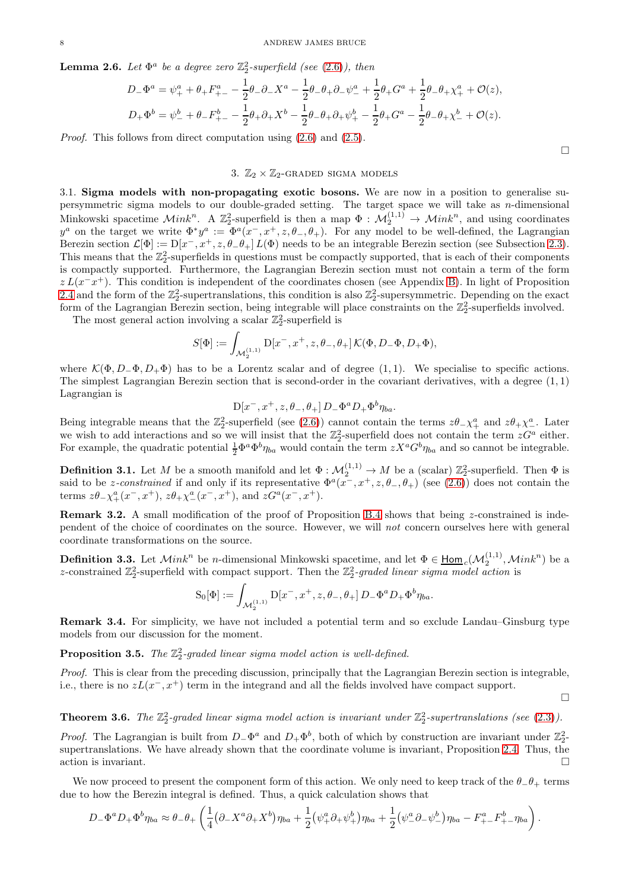**Lemma 2.6.** Let  $\Phi^a$  be a degree zero  $\mathbb{Z}_2^2$ -superfield (see [\(2.6\)](#page-6-1)), then

$$
D_{-}\Phi^{a} = \psi_{+}^{a} + \theta_{+}F_{+-}^{a} - \frac{1}{2}\theta_{-}\partial_{-}X^{a} - \frac{1}{2}\theta_{-}\theta_{+}\partial_{-}\psi_{-}^{a} + \frac{1}{2}\theta_{+}G^{a} + \frac{1}{2}\theta_{-}\theta_{+}\chi_{+}^{a} + \mathcal{O}(z),
$$
  
\n
$$
D_{+}\Phi^{b} = \psi_{-}^{b} + \theta_{-}F_{+-}^{b} - \frac{1}{2}\theta_{+}\partial_{+}X^{b} - \frac{1}{2}\theta_{-}\theta_{+}\partial_{+}\psi_{+}^{b} - \frac{1}{2}\theta_{+}G^{a} - \frac{1}{2}\theta_{-}\theta_{+}\chi_{-}^{b} + \mathcal{O}(z).
$$

<span id="page-7-0"></span>*Proof.* This follows from direct computation using  $(2.6)$  and  $(2.5)$ .

## 3.  $\mathbb{Z}_2 \times \mathbb{Z}_2$ -GRADED SIGMA MODELS

 $\Box$ 

 $\Box$ 

<span id="page-7-1"></span>3.1. Sigma models with non-propagating exotic bosons. We are now in a position to generalise supersymmetric sigma models to our double-graded setting. The target space we will take as  $n$ -dimensional Minkowski spacetime  $\mathcal{M}ink^n$ . A  $\mathbb{Z}_2^2$ -superfield is then a map  $\Phi: \mathcal{M}_2^{(1,1)} \to \mathcal{M}ink^n$ , and using coordinates  $y^a$  on the target we write  $\Phi^* y^a := \Phi^a(x^-, x^+, z, \theta_-, \theta_+).$  For any model to be well-defined, the Lagrangian Berezin section  $\mathcal{L}[\Phi] := D[x^-, x^+, z, \theta_- \theta_+] L(\Phi)$  needs to be an integrable Berezin section (see Subsection [2.3\)](#page-4-0). This means that the  $\mathbb{Z}_2^2$ -superfields in questions must be compactly supported, that is each of their components is compactly supported. Furthermore, the Lagrangian Berezin section must not contain a term of the form  $z L(x^2 - x^2)$ . This condition is independent of the coordinates chosen (see Appendix [B\)](#page-13-1). In light of Proposition [2.4](#page-5-2) and the form of the  $\mathbb{Z}_2^2$ -supertranslations, this condition is also  $\mathbb{Z}_2^2$ -supersymmetric. Depending on the exact form of the Lagrangian Berezin section, being integrable will place constraints on the  $\mathbb{Z}_2^2$ -superfields involved.

The most general action involving a scalar  $\mathbb{Z}_2^2$ -superfield is

$$
S[\Phi] := \int_{\mathcal{M}_2^{(1,1)}} \mathrm{D}[x^-, x^+, z, \theta_-, \theta_+] \, \mathcal{K}(\Phi, D_- \Phi, D_+ \Phi),
$$

where  $\mathcal{K}(\Phi, D_-\Phi, D_+\Phi)$  has to be a Lorentz scalar and of degree (1, 1). We specialise to specific actions. The simplest Lagrangian Berezin section that is second-order in the covariant derivatives, with a degree  $(1,1)$ Lagrangian is

$$
D[x^-,x^+,z,\theta_-,\theta_+] D_-\Phi^a D_+\Phi^b \eta_{ba}.
$$

Being integrable means that the  $\mathbb{Z}_2^2$ -superfield (see [\(2.6\)](#page-6-1)) cannot contain the terms  $z\theta_-\chi^a_+$  and  $z\theta_+\chi^a_-$ . Later we wish to add interactions and so we will insist that the  $\mathbb{Z}_2^2$ -superfield does not contain the term  $zG^a$  either. For example, the quadratic potential  $\frac{1}{2} \Phi^a \Phi^b \eta_{ba}$  would contain the term  $z X^a G^b \eta_{ba}$  and so cannot be integrable.

**Definition 3.1.** Let M be a smooth manifold and let  $\Phi : \mathcal{M}_2^{(1,1)} \to M$  be a (scalar)  $\mathbb{Z}_2^2$ -superfield. Then  $\Phi$  is said to be *z*-constrained if and only if its representative  $\Phi^a(x^-, x^+, z, \theta_-, \theta_+)$  (see [\(2.6\)](#page-6-1)) does not contain the terms  $z\theta_-\chi^a_+(x^-,x^+), z\theta_+\chi^a_-(x^-,x^+),$  and  $zG^a(x^-,x^+)$ .

**Remark 3.2.** A small modification of the proof of Proposition [B.4](#page-14-0) shows that being  $z$ -constrained is independent of the choice of coordinates on the source. However, we will *not* concern ourselves here with general coordinate transformations on the source.

<span id="page-7-2"></span>**Definition 3.3.** Let  $\mathcal{M}ink^n$  be *n*-dimensional Minkowski spacetime, and let  $\Phi \in \underline{\mathsf{Hom}}_c(\mathcal{M}_2^{(1,1)},\mathcal{M}ink^n)$  be a z-constrained  $\mathbb{Z}_2^2$ -superfield with compact support. Then the  $\mathbb{Z}_2^2$ -graded linear sigma model action is

$$
S_0[\Phi] := \int_{\mathcal{M}_2^{(1,1)}} D[x^-, x^+, z, \theta_-, \theta_+] D_- \Phi^a D_+ \Phi^b \eta_{ba}.
$$

Remark 3.4. For simplicity, we have not included a potential term and so exclude Landau–Ginsburg type models from our discussion for the moment.

<span id="page-7-3"></span>**Proposition 3.5.** The  $\mathbb{Z}_2^2$ -graded linear sigma model action is well-defined.

*Proof.* This is clear from the preceding discussion, principally that the Lagrangian Berezin section is integrable, i.e., there is no  $zL(x^-, x^+)$  term in the integrand and all the fields involved have compact support.

**Theorem 3.6.** The  $\mathbb{Z}_2^2$ -graded linear sigma model action is invariant under  $\mathbb{Z}_2^2$ -supertranslations (see [\(2.3\)](#page-4-2)).

*Proof.* The Lagrangian is built from  $D_-\Phi^a$  and  $D_+\Phi^b$ , both of which by construction are invariant under  $\mathbb{Z}_2^2$ supertranslations. We have already shown that the coordinate volume is invariant, Proposition [2.4.](#page-5-2) Thus, the action is invariant.

We now proceed to present the component form of this action. We only need to keep track of the  $\theta_-\theta_+$  terms due to how the Berezin integral is defined. Thus, a quick calculation shows that

$$
D_-\Phi^a D_+\Phi^b \eta_{ba} \approx \theta_-\theta_+\left(\frac{1}{4}(\partial_-X^a\partial_+X^b)\eta_{ba}+\frac{1}{2}(\psi_+^a\partial_+\psi_+^b)\eta_{ba}+\frac{1}{2}(\psi_-^a\partial_-\psi_-^b)\eta_{ba}-F_{+-}^aF_{+-}^b\eta_{ba}\right).
$$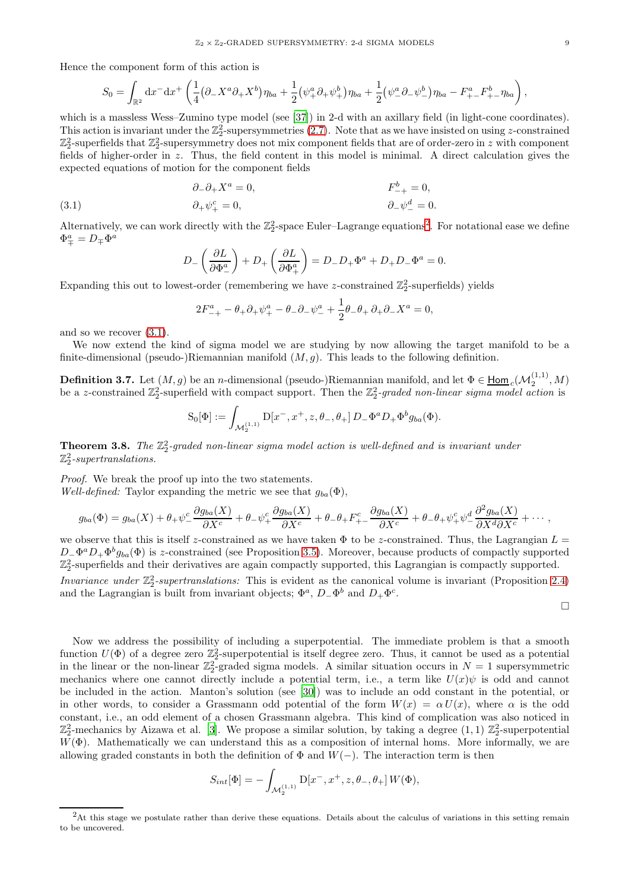Hence the component form of this action is

$$
S_0 = \int_{\mathbb{R}^2} dx^{-} dx^{+} \left( \frac{1}{4} (\partial_{-} X^a \partial_{+} X^b) \eta_{ba} + \frac{1}{2} (\psi_{+}^a \partial_{+} \psi_{+}^b) \eta_{ba} + \frac{1}{2} (\psi_{-}^a \partial_{-} \psi_{-}^b) \eta_{ba} - F_{+-}^a F_{+-}^b \eta_{ba} \right)
$$

which is a massless Wess–Zumino type model (see [\[37\]](#page-13-16)) in 2-d with an axillary field (in light-cone coordinates). This action is invariant under the  $\mathbb{Z}_2^2$ -supersymmetries [\(2.7\)](#page-6-2). Note that as we have insisted on using z-constrained  $\mathbb{Z}_2^2$ -superfields that  $\mathbb{Z}_2^2$ -supersymmetry does not mix component fields that are of order-zero in z with component fields of higher-order in z. Thus, the field content in this model is minimal. A direct calculation gives the expected equations of motion for the component fields

<span id="page-8-2"></span>(3.1) 
$$
\begin{aligned}\n\partial_-\partial_+ X^a &= 0, & F_{-+}^b &= 0, \\
\partial_+\psi_+^c &= 0, & \partial_-\psi_-^d &= 0.\n\end{aligned}
$$

Alternatively, we can work directly with the  $\mathbb{Z}_2^2$  $\mathbb{Z}_2^2$  $\mathbb{Z}_2^2$ -space Euler–Lagrange equations<sup>2</sup>. For notational ease we define  $\Phi^a_\mp = D_\mp \Phi^a$ 

$$
D_{-}\left(\frac{\partial L}{\partial \Phi_{-}^{a}}\right) + D_{+}\left(\frac{\partial L}{\partial \Phi_{+}^{a}}\right) = D_{-}D_{+}\Phi^{a} + D_{+}D_{-}\Phi^{a} = 0.
$$

Expanding this out to lowest-order (remembering we have z-constrained  $\mathbb{Z}_2^2$ -superfields) yields

$$
2F_{-+}^a - \theta_+ \partial_+ \psi_+^a - \theta_- \partial_- \psi_-^a + \frac{1}{2}\theta_- \theta_+ \partial_+ \partial_- X^a = 0,
$$

and so we recover [\(3.1\)](#page-8-2).

We now extend the kind of sigma model we are studying by now allowing the target manifold to be a finite-dimensional (pseudo-)Riemannian manifold  $(M, g)$ . This leads to the following definition.

<span id="page-8-0"></span>**Definition 3.7.** Let  $(M, g)$  be an *n*-dimensional (pseudo-)Riemannian manifold, and let  $\Phi \in \underline{\mathsf{Hom}}_c(\mathcal{M}^{(1,1)}_2, M)$ be a z-constrained  $\mathbb{Z}_2^2$ -superfield with compact support. Then the  $\mathbb{Z}_2^2$ -graded non-linear sigma model action is

$$
S_0[\Phi] := \int_{\mathcal{M}_2^{(1,1)}} D[x^-, x^+, z, \theta_-, \theta_+] D_- \Phi^a D_+ \Phi^b g_{ba}(\Phi).
$$

**Theorem 3.8.** The  $\mathbb{Z}_2^2$ -graded non-linear sigma model action is well-defined and is invariant under  $\mathbb{Z}_2^2$ -supertranslations.

*Proof.* We break the proof up into the two statements. *Well-defined:* Taylor expanding the metric we see that  $g_{ba}(\Phi)$ ,

$$
g_{ba}(\Phi) = g_{ba}(X) + \theta_+ \psi_-^c \frac{\partial g_{ba}(X)}{\partial X^c} + \theta_- \psi_+^c \frac{\partial g_{ba}(X)}{\partial X^c} + \theta_- \theta_+ F^c_{+-} \frac{\partial g_{ba}(X)}{\partial X^c} + \theta_- \theta_+ \psi_+^c \psi_-^d \frac{\partial^2 g_{ba}(X)}{\partial X^d \partial X^c} + \cdots,
$$

we observe that this is itself z-constrained as we have taken  $\Phi$  to be z-constrained. Thus, the Lagrangian  $L =$  $D_-\Phi^a D_+\Phi^b g_{ba}(\Phi)$  is z-constrained (see Proposition [3.5\)](#page-7-3). Moreover, because products of compactly supported  $\mathbb{Z}_2^2$ -superfields and their derivatives are again compactly supported, this Lagrangian is compactly supported.

*Invariance under*  $\mathbb{Z}_2^2$ -supertranslations: This is evident as the canonical volume is invariant (Proposition [2.4\)](#page-5-2) and the Lagrangian is built from invariant objects;  $\Phi^a$ ,  $D_-\Phi^b$  and  $D_+\Phi^c$ .

 $\Box$ 

Now we address the possibility of including a superpotential. The immediate problem is that a smooth function  $U(\Phi)$  of a degree zero  $\mathbb{Z}_2^2$ -superpotential is itself degree zero. Thus, it cannot be used as a potential in the linear or the non-linear  $\mathbb{Z}_2^2$ -graded sigma models. A similar situation occurs in  $N=1$  supersymmetric mechanics where one cannot directly include a potential term, i.e., a term like  $U(x)\psi$  is odd and cannot be included in the action. Manton's solution (see [\[30\]](#page-13-17)) was to include an odd constant in the potential, or in other words, to consider a Grassmann odd potential of the form  $W(x) = \alpha U(x)$ , where  $\alpha$  is the odd constant, i.e., an odd element of a chosen Grassmann algebra. This kind of complication was also noticed in  $\mathbb{Z}_2^2$ -mechanics by Aizawa et al. [\[3](#page-12-11)]. We propose a similar solution, by taking a degree  $(1,1)$   $\mathbb{Z}_2^2$ -superpotential  $W(\Phi)$ . Mathematically we can understand this as a composition of internal homs. More informally, we are allowing graded constants in both the definition of  $\Phi$  and  $W(-)$ . The interaction term is then

$$
S_{int}[\Phi] = -\int_{\mathcal{M}_2^{(1,1)}} \mathrm{D}[x^-, x^+, z, \theta_-, \theta_+] W(\Phi),
$$

,

<span id="page-8-1"></span><sup>2</sup>At this stage we postulate rather than derive these equations. Details about the calculus of variations in this setting remain to be uncovered.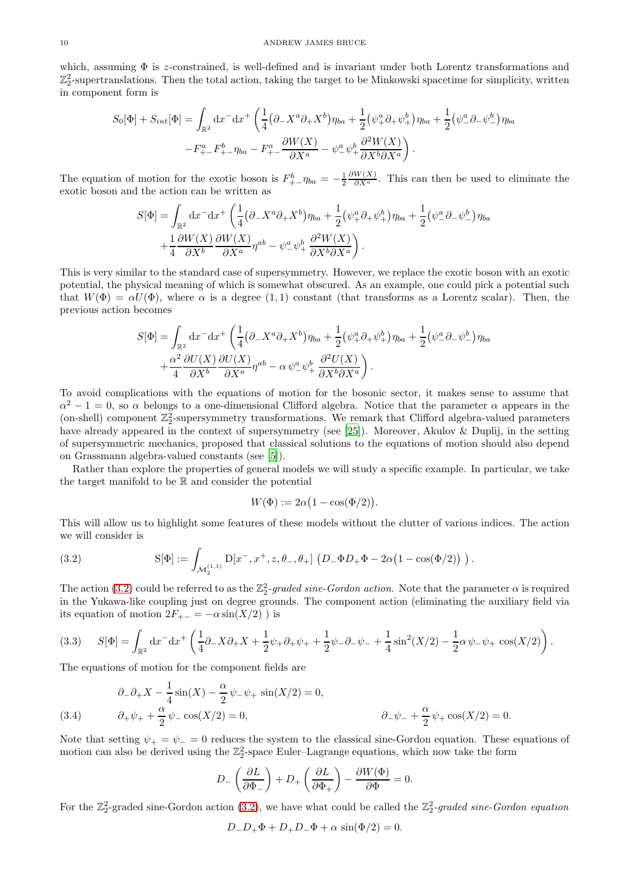which, assuming  $\Phi$  is z-constrained, is well-defined and is invariant under both Lorentz transformations and  $\mathbb{Z}_2^2$ -supertranslations. Then the total action, taking the target to be Minkowski spacetime for simplicity, written in component form is

$$
S_0[\Phi] + S_{int}[\Phi] = \int_{\mathbb{R}^2} dx^- dx^+ \left( \frac{1}{4} (\partial_- X^a \partial_+ X^b) \eta_{ba} + \frac{1}{2} (\psi_+^a \partial_+ \psi_+^b) \eta_{ba} + \frac{1}{2} (\psi_-^a \partial_- \psi_-^b) \eta_{ba} \right. - F_{+-}^a F_{+-}^b \eta_{ba} - F_{+-}^a \frac{\partial W(X)}{\partial X^a} - \psi_-^a \psi_+^b \frac{\partial^2 W(X)}{\partial X^b \partial X^a} \right).
$$

The equation of motion for the exotic boson is  $F_{+-}^b \eta_{ba} = -\frac{1}{2}$  $\frac{\partial W(X)}{\partial X^a}$ . This can then be used to eliminate the exotic boson and the action can be written as

$$
S[\Phi] = \int_{\mathbb{R}^2} dx^- dx^+ \left( \frac{1}{4} (\partial_- X^a \partial_+ X^b) \eta_{ba} + \frac{1}{2} (\psi_+^a \partial_+ \psi_+^b) \eta_{ba} + \frac{1}{2} (\psi_-^a \partial_- \psi_-^b) \eta_{ba} \right. \\ + \frac{1}{4} \frac{\partial W(X)}{\partial X^b} \frac{\partial W(X)}{\partial X^a} \eta^{ab} - \psi_-^a \psi_+^b \frac{\partial^2 W(X)}{\partial X^b \partial X^a} \right).
$$

This is very similar to the standard case of supersymmetry. However, we replace the exotic boson with an exotic potential, the physical meaning of which is somewhat obscured. As an example, one could pick a potential such that  $W(\Phi) = \alpha U(\Phi)$ , where  $\alpha$  is a degree (1, 1) constant (that transforms as a Lorentz scalar). Then, the previous action becomes

$$
S[\Phi] = \int_{\mathbb{R}^2} dx^- dx^+ \left( \frac{1}{4} (\partial_- X^a \partial_+ X^b) \eta_{ba} + \frac{1}{2} (\psi_+^a \partial_+ \psi_+^b) \eta_{ba} + \frac{1}{2} (\psi_-^a \partial_- \psi_-^b) \eta_{ba} \right. \\ + \frac{\alpha^2}{4} \frac{\partial U(X)}{\partial X^b} \frac{\partial U(X)}{\partial X^a} \eta^{ab} - \alpha \psi_-^a \psi_+^b \frac{\partial^2 U(X)}{\partial X^b \partial X^a} \right).
$$

To avoid complications with the equations of motion for the bosonic sector, it makes sense to assume that  $\alpha^2 - 1 = 0$ , so  $\alpha$  belongs to a one-dimensional Clifford algebra. Notice that the parameter  $\alpha$  appears in the (on-shell) component  $\mathbb{Z}_2^2$ -supersymmetry transformations. We remark that Clifford algebra-valued parameters have already appeared in the context of supersymmetry (see [\[25\]](#page-13-18)). Moreover, Akulov & Duplij, in the setting of supersymmetric mechanics, proposed that classical solutions to the equations of motion should also depend on Grassmann algebra-valued constants (see [\[5\]](#page-12-23)).

Rather than explore the properties of general models we will study a specific example. In particular, we take the target manifold to be R and consider the potential

$$
W(\Phi) := 2\alpha \big( 1 - \cos(\Phi/2) \big).
$$

This will allow us to highlight some features of these models without the clutter of various indices. The action we will consider is

<span id="page-9-0"></span>(3.2) 
$$
S[\Phi] := \int_{\mathcal{M}_2^{(1,1)}} D[x^-, x^+, z, \theta_-, \theta_+] \left( D_- \Phi D_+ \Phi - 2\alpha \left( 1 - \cos(\Phi/2) \right) \right).
$$

The action [\(3.2\)](#page-9-0) could be referred to as the  $\mathbb{Z}_2^2$ -graded sine-Gordon action. Note that the parameter  $\alpha$  is required in the Yukawa-like coupling just on degree grounds. The component action (eliminating the auxiliary field via its equation of motion  $2F_{+-} = -\alpha \sin(X/2)$  ) is

<span id="page-9-2"></span>
$$
(3.3) \qquad S[\Phi] = \int_{\mathbb{R}^2} dx^{-} dx^{+} \left( \frac{1}{4} \partial_{-} X \partial_{+} X + \frac{1}{2} \psi_{+} \partial_{+} \psi_{+} + \frac{1}{2} \psi_{-} \partial_{-} \psi_{-} + \frac{1}{4} \sin^2(X/2) - \frac{1}{2} \alpha \psi_{-} \psi_{+} \cos(X/2) \right).
$$

The equations of motion for the component fields are

<span id="page-9-1"></span>(3.4) 
$$
\begin{aligned}\n\partial_{-}\partial_{+}X - \frac{1}{4}\sin(X) - \frac{\alpha}{2}\psi_{-}\psi_{+}\sin(X/2) &= 0, \\
\partial_{+}\psi_{+} + \frac{\alpha}{2}\psi_{-}\cos(X/2) &= 0, \\
\partial_{-}\psi_{-} + \frac{\alpha}{2}\psi_{+}\cos(X/2) &= 0.\n\end{aligned}
$$

Note that setting  $\psi_+ = \psi_- = 0$  reduces the system to the classical sine-Gordon equation. These equations of motion can also be derived using the  $\mathbb{Z}_2^2$ -space Euler–Lagrange equations, which now take the form

$$
D_{-}\left(\frac{\partial L}{\partial \Phi_{-}}\right) + D_{+}\left(\frac{\partial L}{\partial \Phi_{+}}\right) - \frac{\partial W(\Phi)}{\partial \Phi} = 0.
$$

For the  $\mathbb{Z}_2^2$ -graded sine-Gordon action [\(3.2\)](#page-9-0), we have what could be called the  $\mathbb{Z}_2^2$ -graded sine-Gordon equation

$$
D_{-}D_{+}\Phi + D_{+}D_{-}\Phi + \alpha \sin(\Phi/2) = 0.
$$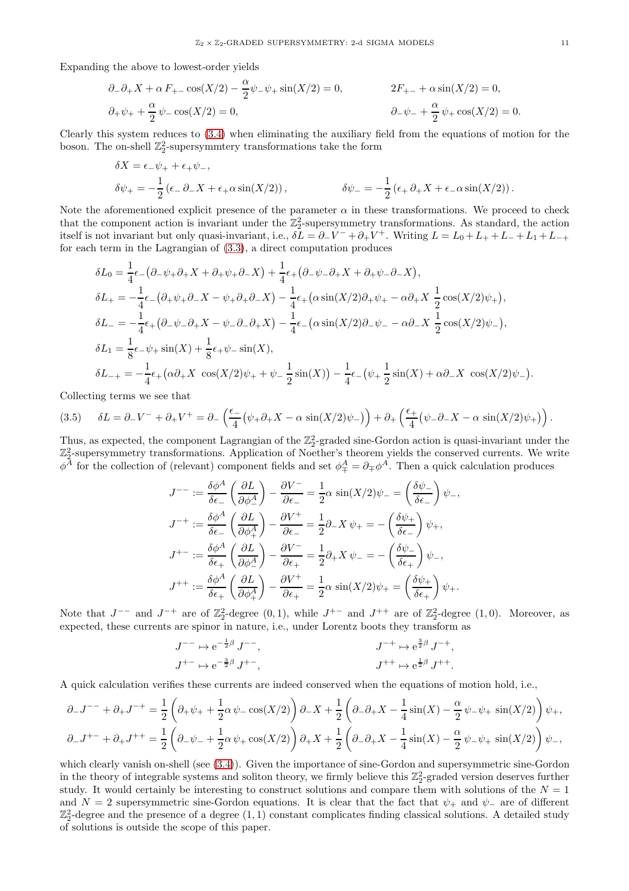Expanding the above to lowest-order yields

$$
\partial_{-}\partial_{+}X + \alpha F_{+-}\cos(X/2) - \frac{\alpha}{2}\psi_{-}\psi_{+}\sin(X/2) = 0, \qquad 2F_{+-} + \alpha\sin(X/2) = 0, \n\partial_{+}\psi_{+} + \frac{\alpha}{2}\psi_{-}\cos(X/2) = 0, \qquad \partial_{-}\psi_{-} + \frac{\alpha}{2}\psi_{+}\cos(X/2) = 0.
$$

Clearly this system reduces to [\(3.4\)](#page-9-1) when eliminating the auxiliary field from the equations of motion for the boson. The on-shell  $\mathbb{Z}_2^2$ -supersymmtery transformations take the form

$$
\delta X = \epsilon_{-}\psi_{+} + \epsilon_{+}\psi_{-},
$$
  
\n
$$
\delta \psi_{+} = -\frac{1}{2} (\epsilon_{-} \partial_{-} X + \epsilon_{+} \alpha \sin(X/2)),
$$
  
\n
$$
\delta \psi_{-} = -\frac{1}{2} (\epsilon_{+} \partial_{+} X + \epsilon_{-} \alpha \sin(X/2)).
$$

Note the aforementioned explicit presence of the parameter  $\alpha$  in these transformations. We proceed to check that the component action is invariant under the  $\mathbb{Z}_2^2$ -supersymmetry transformations. As standard, the action itself is not invariant but only quasi-invariant, i.e.,  $\delta L = \partial_- V^- + \partial_+ V^+$ . Writing  $L = L_0 + L_+ + L_- + L_1 + L_{-+}$ for each term in the Lagrangian of [\(3.3\)](#page-9-2), a direct computation produces

$$
\delta L_0 = \frac{1}{4}\epsilon_{-}(\partial_{-}\psi_{+}\partial_{+}X + \partial_{+}\psi_{+}\partial_{-}X) + \frac{1}{4}\epsilon_{+}(\partial_{-}\psi_{-}\partial_{+}X + \partial_{+}\psi_{-}\partial_{-}X),
$$
  
\n
$$
\delta L_{+} = -\frac{1}{4}\epsilon_{-}(\partial_{+}\psi_{+}\partial_{-}X - \psi_{+}\partial_{+}\partial_{-}X) - \frac{1}{4}\epsilon_{+}(\alpha\sin(X/2)\partial_{+}\psi_{+} - \alpha\partial_{+}X\frac{1}{2}\cos(X/2)\psi_{+}),
$$
  
\n
$$
\delta L_{-} = -\frac{1}{4}\epsilon_{+}(\partial_{-}\psi_{-}\partial_{+}X - \psi_{-}\partial_{-}\partial_{+}X) - \frac{1}{4}\epsilon_{-}(\alpha\sin(X/2)\partial_{-}\psi_{-} - \alpha\partial_{-}X\frac{1}{2}\cos(X/2)\psi_{-}),
$$
  
\n
$$
\delta L_{1} = \frac{1}{8}\epsilon_{-}\psi_{+}\sin(X) + \frac{1}{8}\epsilon_{+}\psi_{-}\sin(X),
$$
  
\n
$$
\delta L_{-+} = -\frac{1}{4}\epsilon_{+}(\alpha\partial_{+}X\cos(X/2)\psi_{+} + \psi_{-}\frac{1}{2}\sin(X)) - \frac{1}{4}\epsilon_{-}(\psi_{+}\frac{1}{2}\sin(X) + \alpha\partial_{-}X\cos(X/2)\psi_{-}).
$$

Collecting terms we see that

$$
(3.5) \qquad \delta L = \partial_- V^- + \partial_+ V^+ = \partial_- \left( \frac{\epsilon_-}{4} \left( \psi_+ \partial_+ X - \alpha \sin(X/2) \psi_- \right) \right) + \partial_+ \left( \frac{\epsilon_+}{4} \left( \psi_- \partial_- X - \alpha \sin(X/2) \psi_+ \right) \right).
$$

Thus, as expected, the component Lagrangian of the  $\mathbb{Z}_2^2$ -graded sine-Gordon action is quasi-invariant under the  $\mathbb{Z}_2^2$ -supersymmetry transformations. Application of Noether's theorem yields the conserved currents. We write  $\phi^A$  for the collection of (relevant) component fields and set  $\phi^A_\mp = \partial_\mp \phi^A$ . Then a quick calculation produces

$$
J^{--} := \frac{\delta \phi^A}{\delta \epsilon_{-}} \left( \frac{\partial L}{\partial \phi^A_{-}} \right) - \frac{\partial V^{-}}{\partial \epsilon_{-}} = \frac{1}{2} \alpha \sin(X/2) \psi_{-} = \left( \frac{\delta \psi_{-}}{\delta \epsilon_{-}} \right) \psi_{-},
$$
  

$$
J^{-+} := \frac{\delta \phi^A}{\delta \epsilon_{-}} \left( \frac{\partial L}{\partial \phi^A_{+}} \right) - \frac{\partial V^{+}}{\partial \epsilon_{-}} = \frac{1}{2} \partial_{-} X \psi_{+} = -\left( \frac{\delta \psi_{+}}{\delta \epsilon_{-}} \right) \psi_{+},
$$
  

$$
J^{+-} := \frac{\delta \phi^A}{\delta \epsilon_{+}} \left( \frac{\partial L}{\partial \phi^A_{-}} \right) - \frac{\partial V^{-}}{\partial \epsilon_{+}} = \frac{1}{2} \partial_{+} X \psi_{-} = -\left( \frac{\delta \psi_{-}}{\delta \epsilon_{+}} \right) \psi_{-},
$$
  

$$
J^{++} := \frac{\delta \phi^A}{\delta \epsilon_{+}} \left( \frac{\partial L}{\partial \phi^A_{+}} \right) - \frac{\partial V^{+}}{\partial \epsilon_{+}} = \frac{1}{2} \alpha \sin(X/2) \psi_{+} = \left( \frac{\delta \psi_{+}}{\delta \epsilon_{+}} \right) \psi_{+}.
$$

Note that  $J^{--}$  and  $J^{-+}$  are of  $\mathbb{Z}_2^2$ -degree  $(0,1)$ , while  $J^{+-}$  and  $J^{++}$  are of  $\mathbb{Z}_2^2$ -degree  $(1,0)$ . Moreover, as expected, these currents are spinor in nature, i.e., under Lorentz boots they transform as

$$
J^{--} \mapsto e^{-\frac{1}{2}\beta} J^{--},
$$
  
\n
$$
J^{+} \mapsto e^{-\frac{3}{2}\beta} J^{+},
$$
  
\n
$$
J^{+} \mapsto e^{\frac{3}{2}\beta} J^{-+},
$$
  
\n
$$
J^{+} \mapsto e^{\frac{1}{2}\beta} J^{+}.
$$

A quick calculation verifies these currents are indeed conserved when the equations of motion hold, i.e.,

$$
\partial_{-}J^{--} + \partial_{+}J^{-+} = \frac{1}{2} \left( \partial_{+} \psi_{+} + \frac{1}{2} \alpha \psi_{-} \cos(X/2) \right) \partial_{-}X + \frac{1}{2} \left( \partial_{-} \partial_{+}X - \frac{1}{4} \sin(X) - \frac{\alpha}{2} \psi_{-} \psi_{+} \sin(X/2) \right) \psi_{+},
$$
  

$$
\partial_{-}J^{+-} + \partial_{+}J^{++} = \frac{1}{2} \left( \partial_{-} \psi_{-} + \frac{1}{2} \alpha \psi_{+} \cos(X/2) \right) \partial_{+}X + \frac{1}{2} \left( \partial_{-} \partial_{+}X - \frac{1}{4} \sin(X) - \frac{\alpha}{2} \psi_{-} \psi_{+} \sin(X/2) \right) \psi_{-},
$$

which clearly vanish on-shell (see [\(3.4\)](#page-9-1)). Given the importance of sine-Gordon and supersymmetric sine-Gordon in the theory of integrable systems and soliton theory, we firmly believe this  $\mathbb{Z}_2^2$ -graded version deserves further study. It would certainly be interesting to construct solutions and compare them with solutions of the  $N = 1$ and  $N = 2$  supersymmetric sine-Gordon equations. It is clear that the fact that  $\psi_+$  and  $\psi_-$  are of different  $\mathbb{Z}_2^2$ -degree and the presence of a degree  $(1,1)$  constant complicates finding classical solutions. A detailed study of solutions is outside the scope of this paper.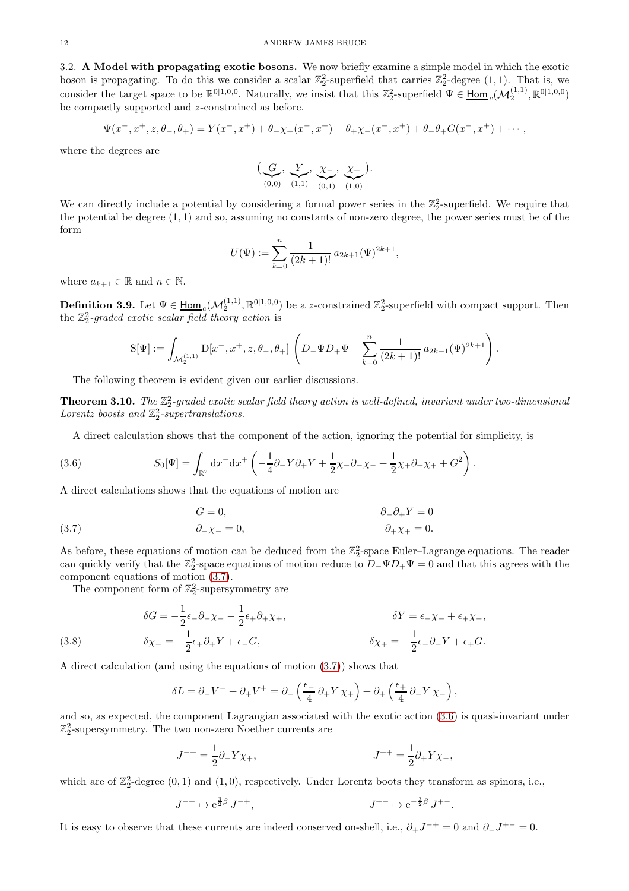<span id="page-11-0"></span>3.2. A Model with propagating exotic bosons. We now briefly examine a simple model in which the exotic boson is propagating. To do this we consider a scalar  $\mathbb{Z}_2^2$ -superfield that carries  $\mathbb{Z}_2^2$ -degree  $(1,1)$ . That is, we consider the target space to be  $\mathbb{R}^{0|1,0,0}$ . Naturally, we insist that this  $\mathbb{Z}_2^2$ -superfield  $\Psi \in \underline{\text{Hom}}_c(\mathcal{M}_2^{(1,1)}, \mathbb{R}^{0|1,0,0})$ be compactly supported and z-constrained as before.

$$
\Psi(x^-, x^+, z, \theta_-, \theta_+) = Y(x^-, x^+) + \theta_- \chi_+(x^-, x^+) + \theta_+ \chi_-(x^-, x^+) + \theta_- \theta_+ G(x^-, x^+) + \cdots,
$$

where the degrees are

$$
\big(\underbrace{G}_{(0,0)}, \underbrace{Y}_{(1,1)}, \underbrace{\chi_{-}}_{(0,1)}, \underbrace{\chi_{+}}_{(1,0)}\big).
$$

We can directly include a potential by considering a formal power series in the  $\mathbb{Z}_2^2$ -superfield. We require that the potential be degree  $(1, 1)$  and so, assuming no constants of non-zero degree, the power series must be of the form

$$
U(\Psi) := \sum_{k=0}^{n} \frac{1}{(2k+1)!} a_{2k+1}(\Psi)^{2k+1},
$$

where  $a_{k+1} \in \mathbb{R}$  and  $n \in \mathbb{N}$ .

**Definition 3.9.** Let  $\Psi \in \underline{\text{Hom}}_c(\mathcal{M}_2^{(1,1)}, \mathbb{R}^{0|1,0,0})$  be a z-constrained  $\mathbb{Z}_2^2$ -superfield with compact support. Then the Z 2 2 *-graded exotic scalar field theory action* is

$$
S[\Psi] := \int_{\mathcal{M}_2^{(1,1)}} D[x^-, x^+, z, \theta_-, \theta_+] \left( D_-\Psi D_+\Psi - \sum_{k=0}^n \frac{1}{(2k+1)!} a_{2k+1} (\Psi)^{2k+1} \right).
$$

The following theorem is evident given our earlier discussions.

**Theorem 3.10.** The  $\mathbb{Z}_2^2$ -graded exotic scalar field theory action is well-defined, invariant under two-dimensional Lorentz boosts and  $\mathbb{Z}_2^2$ -supertranslations.

<span id="page-11-2"></span>A direct calculation shows that the component of the action, ignoring the potential for simplicity, is

(3.6) 
$$
S_0[\Psi] = \int_{\mathbb{R}^2} dx^{-} dx^{+} \left( -\frac{1}{4} \partial_{-} Y \partial_{+} Y + \frac{1}{2} \chi_{-} \partial_{-} \chi_{-} + \frac{1}{2} \chi_{+} \partial_{+} \chi_{+} + G^2 \right).
$$

A direct calculations shows that the equations of motion are

<span id="page-11-1"></span>(3.7) 
$$
G = 0, \qquad \qquad \partial_{-}\partial_{+}Y = 0
$$

$$
\partial_{-}\chi_{-} = 0, \qquad \qquad \partial_{+}\chi_{+} = 0.
$$

As before, these equations of motion can be deduced from the  $\mathbb{Z}_2^2$ -space Euler–Lagrange equations. The reader can quickly verify that the  $\mathbb{Z}_2^2$ -space equations of motion reduce to  $D_-\Psi D_+\Psi=0$  and that this agrees with the component equations of motion [\(3.7\)](#page-11-1).

The component form of  $\mathbb{Z}_2^2$ -supersymmetry are

(3.8) 
$$
\delta G = -\frac{1}{2}\epsilon_{-}\partial_{-}\chi_{-} - \frac{1}{2}\epsilon_{+}\partial_{+}\chi_{+}, \qquad \delta Y = \epsilon_{-}\chi_{+} + \epsilon_{+}\chi_{-},
$$

$$
\delta \chi_{-} = -\frac{1}{2}\epsilon_{+}\partial_{+}Y + \epsilon_{-}G, \qquad \delta \chi_{+} = -\frac{1}{2}\epsilon_{-}\partial_{-}Y + \epsilon_{+}G.
$$

A direct calculation (and using the equations of motion [\(3.7\)](#page-11-1)) shows that

$$
\delta L = \partial_- V^- + \partial_+ V^+ = \partial_- \left( \frac{\epsilon_-}{4} \partial_+ Y \chi_+ \right) + \partial_+ \left( \frac{\epsilon_+}{4} \partial_- Y \chi_- \right),
$$

and so, as expected, the component Lagrangian associated with the exotic action [\(3.6\)](#page-11-2) is quasi-invariant under  $\mathbb{Z}_2^2$  -supersymmetry. The two non-zero Noether currents are

$$
J^{-+} = \frac{1}{2}\partial_{-}Y\chi_{+}, \qquad J^{++} = \frac{1}{2}\partial_{+}Y\chi_{-},
$$

which are of  $\mathbb{Z}_2^2$ -degree  $(0,1)$  and  $(1,0)$ , respectively. Under Lorentz boots they transform as spinors, i.e.,

$$
J^{++} \mapsto e^{\frac{3}{2}\beta} J^{-+}, \qquad J^{+-} \mapsto e^{-\frac{3}{2}\beta} J^{+-}.
$$

It is easy to observe that these currents are indeed conserved on-shell, i.e.,  $\partial_+ J^{-+} = 0$  and  $\partial_- J^{+-} = 0$ .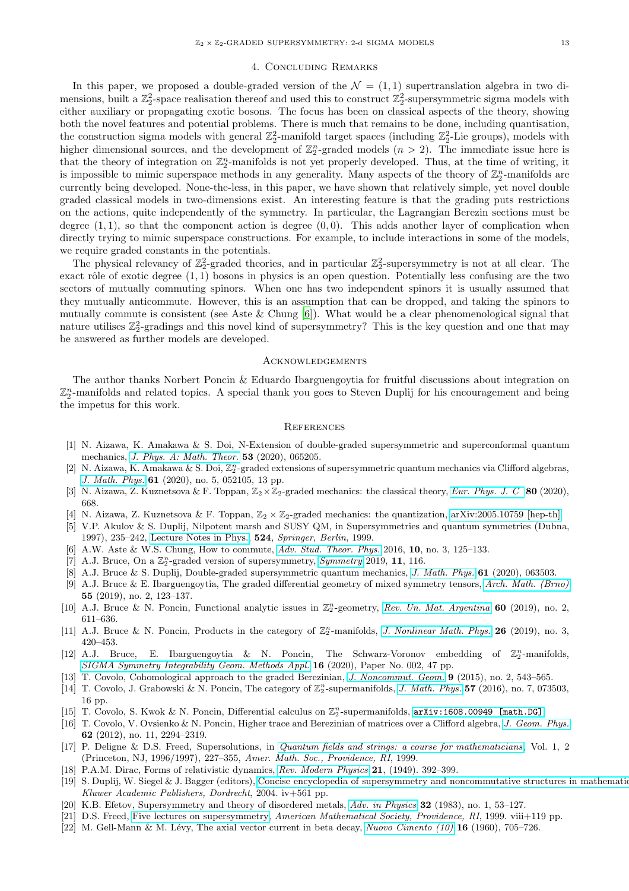#### 4. Concluding Remarks

<span id="page-12-0"></span>In this paper, we proposed a double-graded version of the  $\mathcal{N} = (1, 1)$  supertranslation algebra in two dimensions, built a  $\mathbb{Z}_2^2$ -space realisation thereof and used this to construct  $\mathbb{Z}_2^2$ -supersymmetric sigma models with either auxiliary or propagating exotic bosons. The focus has been on classical aspects of the theory, showing both the novel features and potential problems. There is much that remains to be done, including quantisation, the construction sigma models with general  $\mathbb{Z}_2^2$ -manifold target spaces (including  $\mathbb{Z}_2^2$ -Lie groups), models with higher dimensional sources, and the development of  $\mathbb{Z}_2^n$ -graded models  $(n > 2)$ . The immediate issue here is that the theory of integration on  $\mathbb{Z}_2^n$ -manifolds is not yet properly developed. Thus, at the time of writing, it is impossible to mimic superspace methods in any generality. Many aspects of the theory of  $\mathbb{Z}_2^n$ -manifolds are currently being developed. None-the-less, in this paper, we have shown that relatively simple, yet novel double graded classical models in two-dimensions exist. An interesting feature is that the grading puts restrictions on the actions, quite independently of the symmetry. In particular, the Lagrangian Berezin sections must be degree  $(1, 1)$ , so that the component action is degree  $(0, 0)$ . This adds another layer of complication when directly trying to mimic superspace constructions. For example, to include interactions in some of the models. we require graded constants in the potentials.

The physical relevancy of  $\mathbb{Z}_2^2$ -graded theories, and in particular  $\mathbb{Z}_2^2$ -supersymmetry is not at all clear. The exact rôle of exotic degree  $(1,1)$  bosons in physics is an open question. Potentially less confusing are the two sectors of mutually commuting spinors. When one has two independent spinors it is usually assumed that they mutually anticommute. However, this is an assumption that can be dropped, and taking the spinors to mutually commute is consistent (see Aste & Chung  $[6]$ ). What would be a clear phenomenological signal that nature utilises  $\mathbb{Z}_2^2$ -gradings and this novel kind of supersymmetry? This is the key question and one that may be answered as further models are developed.

#### <span id="page-12-1"></span>**ACKNOWLEDGEMENTS**

The author thanks Norbert Poncin & Eduardo Ibarguengoytia for fruitful discussions about integration on  $\mathbb{Z}_2^n$ -manifolds and related topics. A special thank you goes to Steven Duplij for his encouragement and being the impetus for this work.

#### <span id="page-12-2"></span>**REFERENCES**

- <span id="page-12-9"></span>[1] N. Aizawa, K. Amakawa & S. Doi, N-Extension of double-graded supersymmetric and superconformal quantum mechanics, *[J. Phys. A: Math. Theor.](https://doi.org/10.1088/1751-8121/ab661c)* 53 (2020), 065205.
- <span id="page-12-10"></span>[2] N. Aizawa, K. Amakawa & S. Doi,  $\mathbb{Z}_2^n$ -graded extensions of supersymmetric quantum mechanics via Clifford algebras, *[J. Math. Phys.](https://doi.org/10.1063/1.5144325)* 61 (2020), no. 5, 052105, 13 pp.
- <span id="page-12-11"></span>[3] N. Aizawa, Z. Kuznetsova & F. Toppan, Z2×Z2-graded mechanics: the classical theory, *[Eur. Phys. J. C](https://doi.org/10.1140/epjc/s10052-020-8242-x)* 80 (2020), 668.
- <span id="page-12-12"></span>[4] N. Aizawa, Z. Kuznetsova & F. Toppan,  $\mathbb{Z}_2 \times \mathbb{Z}_2$ -graded mechanics: the quantization, [arXiv:2005.10759 \[hep-th\].](https://arxiv.org/abs/2005.10759)
- <span id="page-12-23"></span>[5] V.P. Akulov & S. Duplij, Nilpotent marsh and SUSY QM, in Supersymmetries and quantum symmetries (Dubna, 1997), 235–242, [Lecture Notes in Phys.,](https://doi.org/10.1007/BFb0104604) 524, *Springer, Berlin*, 1999.
- <span id="page-12-24"></span>[6] A.W. Aste & W.S. Chung, How to commute, *[Adv. Stud. Theor. Phys.](http://dx.doi.org/10.12988/astp.2016.512116)* 2016, 10, no. 3, 125–133.
- <span id="page-12-3"></span> $[7]$  A.J. Bruce, On a  $\mathbb{Z}_2^n$ -graded version of supersymmetry, *[Symmetry](https://doi.org/10.3390/sym11010116)* 2019, 11, 116.
- <span id="page-12-14"></span>[8] A.J. Bruce & S. Duplij, Double-graded supersymmetric quantum mechanics, *[J. Math. Phys.]( https://doi.org/10.1063/1.5118302)* 61 (2020), 063503.
- <span id="page-12-13"></span>[9] A.J. Bruce & E. Ibarguengoytia, The graded differential geometry of mixed symmetry tensors, *[Arch. Math. \(Brno\)](https://doi.org/10.5817/AM2019-2-123)* 55 (2019), no. 2, 123–137.
- <span id="page-12-4"></span>[10] A.J. Bruce & N. Poncin, Functional analytic issues in  $\mathbb{Z}_2^n$ -geometry, [Rev. Un. Mat. Argentina](https://doi.org/10.33044/revuma.v60n2a21) 60 (2019), no. 2, 611–636.
- <span id="page-12-5"></span>[11] A.J. Bruce & N. Poncin, Products in the category of  $\mathbb{Z}_2^n$ -manifolds, *[J. Nonlinear Math. Phys.](https://doi.org/10.1080/14029251.2019.1613051)* **26** (2019), no. 3, 420–453.
- <span id="page-12-6"></span>[12] A.J. Bruce, E. Ibarguengoytia & N. Poncin, The Schwarz-Voronov embedding of  $\mathbb{Z}_2^n$ -manifolds, *[SIGMA Symmetry Integrability Geom. Methods Appl.](https://doi.org/10.3842/SIGMA.2020.002)* 16 (2020), Paper No. 002, 47 pp.
- <span id="page-12-22"></span>[13] T. Covolo, Cohomological approach to the graded Berezinian, *[J. Noncommut. Geom.](https://doi.org/10.4171/JNCG/200)* 9 (2015), no. 2, 543–565.
- <span id="page-12-7"></span>[14] T. Covolo, J. Grabowski & N. Poncin, The category of  $\mathbb{Z}_2^n$ -supermanifolds, *[J. Math. Phys.](https://doi.org/10.1063/1.4955416)* 57 (2016), no. 7, 073503, 16 pp.
- <span id="page-12-8"></span>[15] T. Covolo, S. Kwok & N. Poncin, Differential calculus on  $\mathbb{Z}_2^n$ -supermanifolds,  $arXiv:1608.00949$  [math.DG]
- <span id="page-12-21"></span>[16] T. Covolo, V. Ovsienko & N. Poncin, Higher trace and Berezinian of matrices over a Clifford algebra, *[J. Geom. Phys.](https://doi.org/10.1016/j.geomphys.2012.07.004)* 62 (2012), no. 11, 2294–2319.
- <span id="page-12-16"></span>[17] P. Deligne & D.S. Freed, Supersolutions, in *[Quantum fields and strings: a course for mathematicians](https://bookstore.ams.org/qft-1-2-s/)*, Vol. 1, 2 (Princeton, NJ, 1996/1997), 227–355, *Amer. Math. Soc., Providence, RI*, 1999.
- <span id="page-12-20"></span>[18] P.A.M. Dirac, Forms of relativistic dynamics, *[Rev. Modern Physics](https://doi.org/10.1103/revmodphys.21.392)* 21, (1949). 392–399.
- <span id="page-12-18"></span>[19] S. Duplij, W. Siegel & J. Bagger (editors), Concise encyclopedia of supersymmetry and noncommutative structures in mathematic *Kluwer Academic Publishers, Dordrecht*, 2004. iv+561 pp.
- <span id="page-12-19"></span>[20] K.B. Efetov, Supersymmetry and theory of disordered metals, *[Adv. in Physics](https://doi.org/10.1080/00018738300101531)* 32 (1983), no. 1, 53–127.
- <span id="page-12-17"></span>[21] D.S. Freed, [Five lectures on supersymmetry,](https://bookstore.ams.org/FLS) *American Mathematical Society, Providence, RI*, 1999. viii+119 pp.
- <span id="page-12-15"></span>[22] M. Gell-Mann & M. Lévy, The axial vector current in beta decay, *[Nuovo Cimento \(10\)](https://doi.org/10.1007/BF02859738)* **16** (1960), 705–726.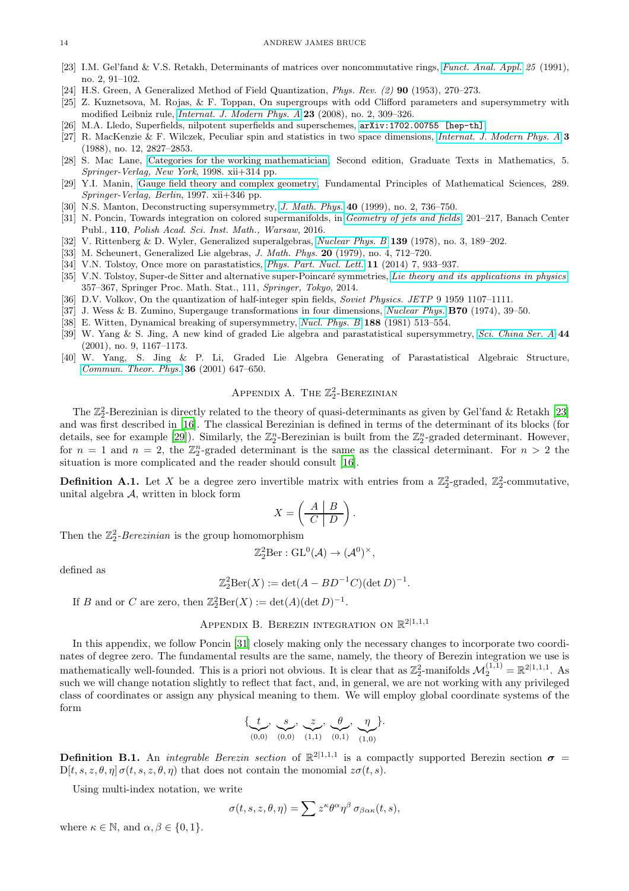#### 14 ANDREW JAMES BRUCE

- <span id="page-13-19"></span>[23] I.M. Gel'fand & V.S. Retakh, Determinants of matrices over noncommutative rings, *[Funct. Anal. Appl.](https://doi.org/10.1007/BF01079588) 25* (1991), no. 2, 91–102.
- <span id="page-13-5"></span>[24] H.S. Green, A Generalized Method of Field Quantization, *Phys. Rev. (2)* 90 (1953), 270–273.
- <span id="page-13-18"></span>[25] Z. Kuznetsova, M. Rojas, & F. Toppan, On supergroups with odd Clifford parameters and supersymmetry with modified Leibniz rule, *[Internat. J. Modern Phys. A](https://doi.org/10.1142/S0217751X08038159)* 23 (2008), no. 2, 309–326.
- <span id="page-13-15"></span>[26] M.A. Lledo, Superfields, nilpotent superfields and superschemes, [arXiv:1702.00755 \[hep-th\]](https://arxiv.org/abs/1702.00755).
- <span id="page-13-4"></span>[27] R. MacKenzie & F. Wilczek, Peculiar spin and statistics in two space dimensions, *[Internat. J. Modern Phys. A](https://doi.org/10.1142/S0217751X88001181)* 3 (1988), no. 12, 2827–2853.
- <span id="page-13-13"></span>[28] S. Mac Lane, [Categories for the working mathematician,](https://doi.org/10.1007/978-1-4757-4721-8) Second edition, Graduate Texts in Mathematics, 5. *Springer-Verlag, New York*, 1998. xii+314 pp.
- <span id="page-13-12"></span>[29] Y.I. Manin, [Gauge field theory and complex geometry,](https://doi.org/10.1007/978-3-662-07386-5) Fundamental Principles of Mathematical Sciences, 289. *Springer-Verlag, Berlin*, 1997. xii+346 pp.
- <span id="page-13-17"></span>[30] N.S. Manton, Deconstructing supersymmetry, *[J. Math. Phys.](https://doi.org/10.1063/1.532682)* 40 (1999), no. 2, 736–750.
- <span id="page-13-14"></span>[31] N. Poncin, Towards integration on colored supermanifolds, in *[Geometry of jets and fields](https://doi.org/10.4064/bc110-0-14)*, 201–217, Banach Center Publ., 110, *Polish Acad. Sci. Inst. Math., Warsaw*, 2016.
- <span id="page-13-10"></span>[32] V. Rittenberg & D. Wyler, Generalized superalgebras, *[Nuclear Phys. B](https://doi.org/10.1016/0550-3213(78)90186-4)* 139 (1978), no. 3, 189–202.
- <span id="page-13-11"></span>[33] M. Scheunert, Generalized Lie algebras, *J. Math. Phys.* 20 (1979), no. 4, 712–720.
- <span id="page-13-7"></span>[34] V.N. Tolstoy, Once more on parastatistics, *[Phys. Part. Nucl. Lett.](https://doi.org/10.1134/S1547477114070449)* 11 (2014) 7, 933–937.
- <span id="page-13-2"></span>[35] V.N. Tolstoy, Super-de Sitter and alternative super-Poincaré symmetries, *[Lie theory and its applications in physics](https://doi.org/10.1007/978-4-431-55285-7_26)*, 357–367, Springer Proc. Math. Stat., 111, *Springer, Tokyo*, 2014.
- <span id="page-13-6"></span>[36] D.V. Volkov, On the quantization of half-integer spin fields, *Soviet Physics. JETP* 9 1959 1107–1111.
- <span id="page-13-16"></span>[37] J. Wess & B. Zumino, Supergauge transformations in four dimensions, *[Nuclear Phys.](https://doi.org/10.1016/0550-3213(74)90355-1)* B70 (1974), 39–50.
- <span id="page-13-3"></span>[38] E. Witten, Dynamical breaking of supersymmetry, *[Nucl. Phys. B](https://doi.org/10.1016/0550-3213(81)90006-7)* 188 (1981) 513–554.
- <span id="page-13-8"></span>[39] W. Yang & S. Jing, A new kind of graded Lie algebra and parastatistical supersymmetry, *[Sci. China Ser. A](https://doi.org/10.1007/BF02877435)* 44 (2001), no. 9, 1167–1173.
- <span id="page-13-9"></span><span id="page-13-0"></span>[40] W. Yang, S. Jing & P. Li, Graded Lie Algebra Generating of Parastatistical Algebraic Structure, *[Commun. Theor. Phys.](https://doi.org/10.1088/0253-6102/36/6/647)* 36 (2001) 647–650.

# APPENDIX A. THE  $\mathbb{Z}_2^2$ -BEREZINIAN

The  $\mathbb{Z}_2^2$ -Berezinian is directly related to the theory of quasi-determinants as given by Gel'fand & Retakh [\[23\]](#page-13-19) and was first described in [\[16](#page-12-21)]. The classical Berezinian is defined in terms of the determinant of its blocks (for details, see for example [\[29\]](#page-13-12)). Similarly, the  $\mathbb{Z}_2^n$ -Berezinian is built from the  $\mathbb{Z}_2^n$ -graded determinant. However, for  $n = 1$  and  $n = 2$ , the  $\mathbb{Z}_2^n$ -graded determinant is the same as the classical determinant. For  $n > 2$  the situation is more complicated and the reader should consult [\[16](#page-12-21)].

<span id="page-13-20"></span>**Definition A.1.** Let X be a degree zero invertible matrix with entries from a  $\mathbb{Z}_2^2$ -graded,  $\mathbb{Z}_2^2$ -commutative, unital algebra  $A$ , written in block form

$$
X = \left(\begin{array}{c|c} A & B \\ \hline C & D \end{array}\right).
$$

Then the  $\mathbb{Z}_2^2$ -*Berezinian* is the group homomorphism

$$
\mathbb{Z}_2^2\mathrm{Ber}: \mathrm{GL}^0(\mathcal{A}) \to (\mathcal{A}^0)^\times,
$$

defined as

$$
\mathbb{Z}_2^2 \text{Ber}(X) := \det(A - BD^{-1}C)(\det D)^{-1}
$$

.

<span id="page-13-1"></span>If B and or C are zero, then  $\mathbb{Z}_2^2 \text{Ber}(X) := \det(A)(\det D)^{-1}$ .

# APPENDIX B. BEREZIN INTEGRATION ON  $\mathbb{R}^{2|1,1,1}$

In this appendix, we follow Poncin [\[31](#page-13-14)] closely making only the necessary changes to incorporate two coordinates of degree zero. The fundamental results are the same, namely, the theory of Berezin integration we use is mathematically well-founded. This is a priori not obvious. It is clear that as  $\mathbb{Z}_2^2$ -manifolds  $\mathcal{M}_2^{(1,1)} = \mathbb{R}^{2|1,1,1}$ . As such we will change notation slightly to reflect that fact, and, in general, we are not working with any privileged class of coordinates or assign any physical meaning to them. We will employ global coordinate systems of the form

$$
\{\underbrace{t}_{(0,0)}, \underbrace{s}_{(0,0)}, \underbrace{z}_{(1,1)}, \underbrace{\theta}_{(0,1)}, \underbrace{\eta}_{(1,0)}\}.
$$

**Definition B.1.** An *integrable Berezin section* of  $\mathbb{R}^{2|1,1,1}$  is a compactly supported Berezin section  $\sigma$  $D[t, s, z, \theta, \eta] \sigma(t, s, z, \theta, \eta)$  that does not contain the monomial  $z\sigma(t, s)$ .

Using multi-index notation, we write

$$
\sigma(t,s,z,\theta,\eta) = \sum z^{\kappa} \theta^{\alpha} \eta^{\beta} \sigma_{\beta \alpha \kappa}(t,s),
$$

where  $\kappa \in \mathbb{N}$ , and  $\alpha, \beta \in \{0, 1\}$ .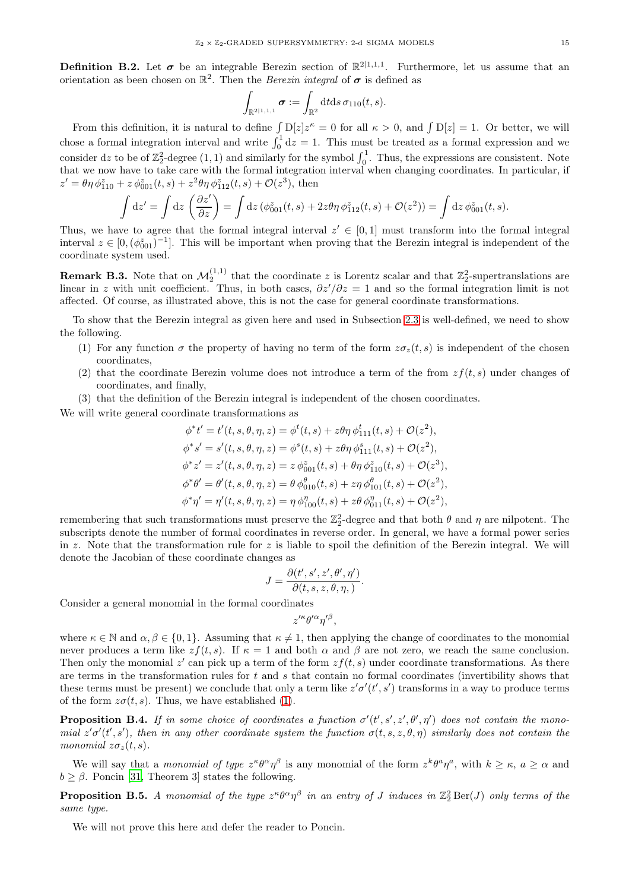**Definition B.2.** Let  $\sigma$  be an integrable Berezin section of  $\mathbb{R}^{2|1,1,1}$ . Furthermore, let us assume that an orientation as been chosen on  $\mathbb{R}^2$ . Then the *Berezin integral* of  $\sigma$  is defined as

$$
\int_{\mathbb{R}^{2|1,1,1}} \boldsymbol{\sigma} := \int_{\mathbb{R}^2} dt ds \, \sigma_{110}(t,s).
$$

From this definition, it is natural to define  $\int D[z]z^k = 0$  for all  $\kappa > 0$ , and  $\int D[z] = 1$ . Or better, we will chose a formal integration interval and write  $\int_0^1 dz = 1$ . This must be treated as a formal expression and we consider dz to be of  $\mathbb{Z}_2^2$ -degree  $(1,1)$  and similarly for the symbol  $\int_0^1$ . Thus, the expressions are consistent. Note that we now have to take care with the formal integration interval when changing coordinates. In particular, if  $z' = \theta \eta \, \phi_{110}^z + z \, \phi_{001}^z(t, s) + z^2 \theta \eta \, \phi_{112}^z(t, s) + \mathcal{O}(z^3)$ , then

$$
\int dz' = \int dz \left(\frac{\partial z'}{\partial z}\right) = \int dz \left(\phi_{001}^z(t,s) + 2z\theta\eta \phi_{112}^z(t,s) + \mathcal{O}(z^2)\right) = \int dz \phi_{001}^z(t,s).
$$

Thus, we have to agree that the formal integral interval  $z' \in [0,1]$  must transform into the formal integral interval  $z \in [0, (\phi_{001}^z)^{-1}]$ . This will be important when proving that the Berezin integral is independent of the coordinate system used.

**Remark B.3.** Note that on  $\mathcal{M}_2^{(1,1)}$  that the coordinate z is Lorentz scalar and that  $\mathbb{Z}_2^2$ -supertranslations are linear in z with unit coefficient. Thus, in both cases,  $\partial z'/\partial z = 1$  and so the formal integration limit is not affected. Of course, as illustrated above, this is not the case for general coordinate transformations.

<span id="page-14-1"></span>To show that the Berezin integral as given here and used in Subsection [2.3](#page-4-0) is well-defined, we need to show the following.

- (1) For any function  $\sigma$  the property of having no term of the form  $z\sigma_z(t,s)$  is independent of the chosen coordinates,
- (2) that the coordinate Berezin volume does not introduce a term of the from  $zf(t, s)$  under changes of coordinates, and finally,
- (3) that the definition of the Berezin integral is independent of the chosen coordinates.

We will write general coordinate transformations as

$$
\phi^* t' = t'(t, s, \theta, \eta, z) = \phi^t(t, s) + z\theta\eta \phi^t_{111}(t, s) + \mathcal{O}(z^2),
$$
  
\n
$$
\phi^* s' = s'(t, s, \theta, \eta, z) = \phi^s(t, s) + z\theta\eta \phi^s_{111}(t, s) + \mathcal{O}(z^2),
$$
  
\n
$$
\phi^* z' = z'(t, s, \theta, \eta, z) = z \phi^z_{001}(t, s) + \theta\eta \phi^z_{110}(t, s) + \mathcal{O}(z^3),
$$
  
\n
$$
\phi^* \theta' = \theta'(t, s, \theta, \eta, z) = \theta \phi^{\theta}_{010}(t, s) + z\eta \phi^{\theta}_{101}(t, s) + \mathcal{O}(z^2),
$$
  
\n
$$
\phi^* \eta' = \eta'(t, s, \theta, \eta, z) = \eta \phi^{\eta}_{100}(t, s) + z\theta \phi^{\eta}_{011}(t, s) + \mathcal{O}(z^2),
$$

remembering that such transformations must preserve the  $\mathbb{Z}_2^2$ -degree and that both  $\theta$  and  $\eta$  are nilpotent. The subscripts denote the number of formal coordinates in reverse order. In general, we have a formal power series in z. Note that the transformation rule for z is liable to spoil the definition of the Berezin integral. We will denote the Jacobian of these coordinate changes as

$$
J = \frac{\partial(t', s', z', \theta', \eta')}{\partial(t, s, z, \theta, \eta,)}.
$$

Consider a general monomial in the formal coordinates

$$
z^{\prime\kappa}\theta^{\prime\alpha}\eta^{\prime\beta},
$$

where  $\kappa \in \mathbb{N}$  and  $\alpha, \beta \in \{0, 1\}$ . Assuming that  $\kappa \neq 1$ , then applying the change of coordinates to the monomial never produces a term like  $zf(t, s)$ . If  $\kappa = 1$  and both  $\alpha$  and  $\beta$  are not zero, we reach the same conclusion. Then only the monomial  $z'$  can pick up a term of the form  $zf(t, s)$  under coordinate transformations. As there are terms in the transformation rules for  $t$  and  $s$  that contain no formal coordinates (invertibility shows that these terms must be present) we conclude that only a term like  $z'\sigma'(t',s')$  transforms in a way to produce terms of the form  $z\sigma(t, s)$ . Thus, we have established [\(1\)](#page-14-1).

<span id="page-14-0"></span>**Proposition B.4.** If in some choice of coordinates a function  $\sigma'(t', s', z', \theta', \eta')$  does not contain the mono*mial*  $z' \sigma'(t', s')$ , then in any other coordinate system the function  $\sigma(t, s, z, \theta, \eta)$  similarly does not contain the *monomial*  $z\sigma_z(t,s)$ *.* 

We will say that a *monomial of type*  $z^{\kappa} \theta^{\alpha} \eta^{\beta}$  is any monomial of the form  $z^{k} \theta^{a} \eta^{a}$ , with  $k \geq \kappa$ ,  $a \geq \alpha$  and  $b > \beta$ . Poncin [\[31,](#page-13-14) Theorem 3] states the following.

<span id="page-14-2"></span>**Proposition B.5.** A monomial of the type  $z^{\kappa} \theta^{\alpha} \eta^{\beta}$  in an entry of J induces in  $\mathbb{Z}_2^2 \text{Ber}(J)$  only terms of the *same type.*

We will not prove this here and defer the reader to Poncin.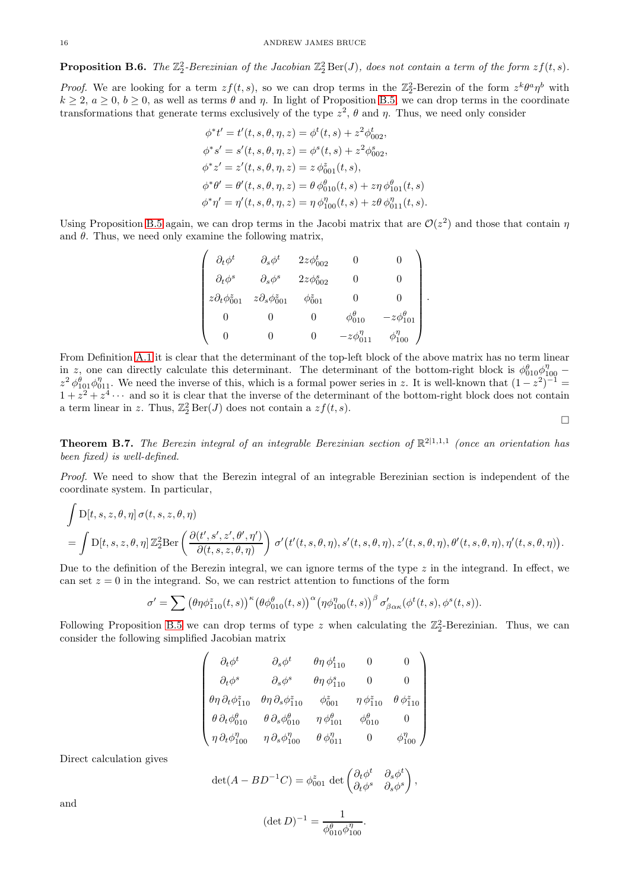**Proposition B.6.** The  $\mathbb{Z}_2^2$ -Berezinian of the Jacobian  $\mathbb{Z}_2^2$ Ber(J), does not contain a term of the form  $zf(t, s)$ .

*Proof.* We are looking for a term  $zf(t, s)$ , so we can drop terms in the  $\mathbb{Z}_2^2$ -Berezin of the form  $z^k\theta^a\eta^b$  with  $k \ge 2$ ,  $a \ge 0$ ,  $b \ge 0$ , as well as terms  $\theta$  and  $\eta$ . In light of Proposition [B.5,](#page-14-2) we can drop terms in the coordinate transformations that generate terms exclusively of the type  $z^2$ ,  $\theta$  and  $\eta$ . Thus, we need only consider

$$
\phi^* t' = t'(t, s, \theta, \eta, z) = \phi^t(t, s) + z^2 \phi^t_{002},
$$
  
\n
$$
\phi^* s' = s'(t, s, \theta, \eta, z) = \phi^s(t, s) + z^2 \phi^s_{002},
$$
  
\n
$$
\phi^* z' = z'(t, s, \theta, \eta, z) = z \phi^z_{001}(t, s),
$$
  
\n
$$
\phi^* \theta' = \theta'(t, s, \theta, \eta, z) = \theta \phi^{\theta}_{010}(t, s) + z \eta \phi^{\theta}_{101}(t, s)
$$
  
\n
$$
\phi^* \eta' = \eta'(t, s, \theta, \eta, z) = \eta \phi^{\eta}_{100}(t, s) + z \theta \phi^{\eta}_{011}(t, s).
$$

Using Proposition [B.5](#page-14-2) again, we can drop terms in the Jacobi matrix that are  $\mathcal{O}(z^2)$  and those that contain  $\eta$ and  $\theta$ . Thus, we need only examine the following matrix,

$$
\begin{pmatrix}\n\partial_t \phi^t & \partial_s \phi^t & 2z\phi^t_{002} & 0 & 0 \\
\partial_t \phi^s & \partial_s \phi^s & 2z\phi^s_{002} & 0 & 0 \\
z\partial_t \phi^s_{001} & z\partial_s \phi^s_{001} & \phi^s_{001} & 0 & 0 \\
0 & 0 & 0 & \phi^{\theta}_{010} & -z\phi^{\theta}_{101} \\
0 & 0 & 0 & -z\phi^{\eta}_{011} & \phi^{\eta}_{100}\n\end{pmatrix}
$$

.

From Definition [A.1](#page-13-20) it is clear that the determinant of the top-left block of the above matrix has no term linear in z, one can directly calculate this determinant. The determinant of the bottom-right block is  $\phi_{010}^{\theta} \phi_{100}^{\eta}$  –  $z^2 \phi_{101}^{\theta} \phi_{011}^{\eta}$ . We need the inverse of this, which is a formal power series in z. It is well-known that  $(1-z^2)^{-1}$  $1 + z^2 + z^4 \cdots$  and so it is clear that the inverse of the determinant of the bottom-right block does not contain a term linear in z. Thus,  $\mathbb{Z}_2^2 \operatorname{Ber}(J)$  does not contain a  $zf(t, s)$ .

 $\Box$ 

**Theorem B.7.** The Berezin integral of an integrable Berezinian section of  $\mathbb{R}^{2|1,1,1}$  (once an orientation has *been fixed) is well-defined.*

*Proof.* We need to show that the Berezin integral of an integrable Berezinian section is independent of the coordinate system. In particular,

$$
\int D[t, s, z, \theta, \eta] \sigma(t, s, z, \theta, \eta)
$$
\n
$$
= \int D[t, s, z, \theta, \eta] \mathbb{Z}_{2}^{2} \text{Ber}\left(\frac{\partial(t', s', z', \theta', \eta')}{\partial(t, s, z, \theta, \eta)}\right) \sigma'(t'(t, s, \theta, \eta), s'(t, s, \theta, \eta), z'(t, s, \theta, \eta), \theta'(t, s, \theta, \eta), \eta'(t, s, \theta, \eta)).
$$

Due to the definition of the Berezin integral, we can ignore terms of the type  $z$  in the integrand. In effect, we can set  $z = 0$  in the integrand. So, we can restrict attention to functions of the form

$$
\sigma' = \sum (\theta \eta \phi_{110}^z(t,s))^{\kappa} (\theta \phi_{010}^{\theta}(t,s))^{\alpha} (\eta \phi_{100}^{\eta}(t,s))^{\beta} \sigma'_{\beta \alpha \kappa} (\phi^t(t,s), \phi^s(t,s)).
$$

Following Proposition [B.5](#page-14-2) we can drop terms of type z when calculating the  $\mathbb{Z}_2^2$ -Berezinian. Thus, we can consider the following simplified Jacobian matrix

$$
\left(\begin{array}{cccc} \partial_t \phi^t & \partial_s \phi^t & \theta \eta \, \phi_{110}^t & 0 & 0 \\ \partial_t \phi^s & \partial_s \phi^s & \theta \eta \, \phi_{110}^s & 0 & 0 \\ \theta \eta \, \partial_t \phi_{110}^s & \theta \eta \, \partial_s \phi_{110}^s & \phi_{001}^s & \eta \, \phi_{110}^s & \theta \, \phi_{110}^s \\ \theta \, \partial_t \phi_{010}^0 & \theta \, \partial_s \phi_{010}^0 & \eta \, \phi_{101}^0 & \phi_{010}^0 & 0 \\ \eta \, \partial_t \phi_{100}^{\eta} & \eta \, \partial_s \phi_{100}^{\eta} & \theta \, \phi_{011}^{\eta} & 0 & \phi_{100}^{\eta} \end{array}\right)
$$

Direct calculation gives

$$
\det(A - BD^{-1}C) = \phi_{001}^z \det \begin{pmatrix} \partial_t \phi^t & \partial_s \phi^t \\ \partial_t \phi^s & \partial_s \phi^s \end{pmatrix},
$$

and

$$
(\det D)^{-1} = \frac{1}{\phi_{010}^{\theta} \phi_{100}^{\eta}}.
$$